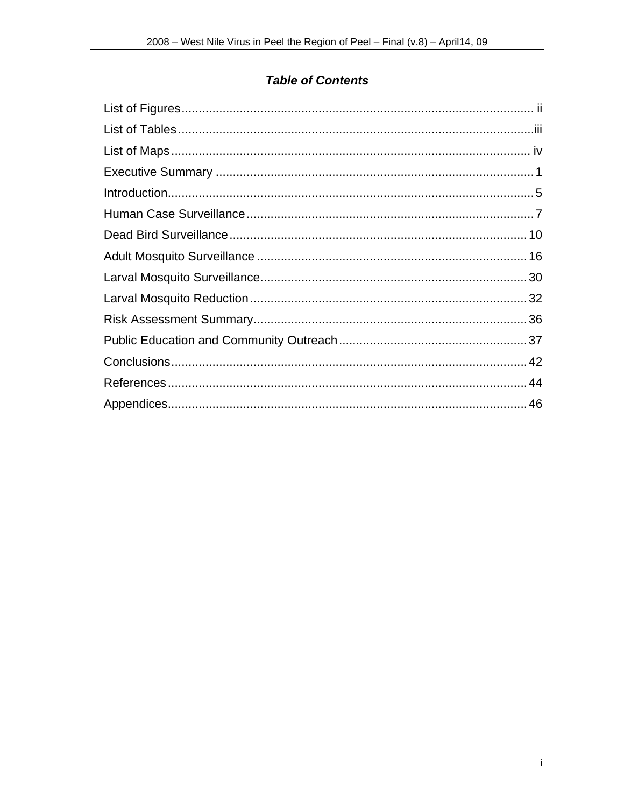## **Table of Contents**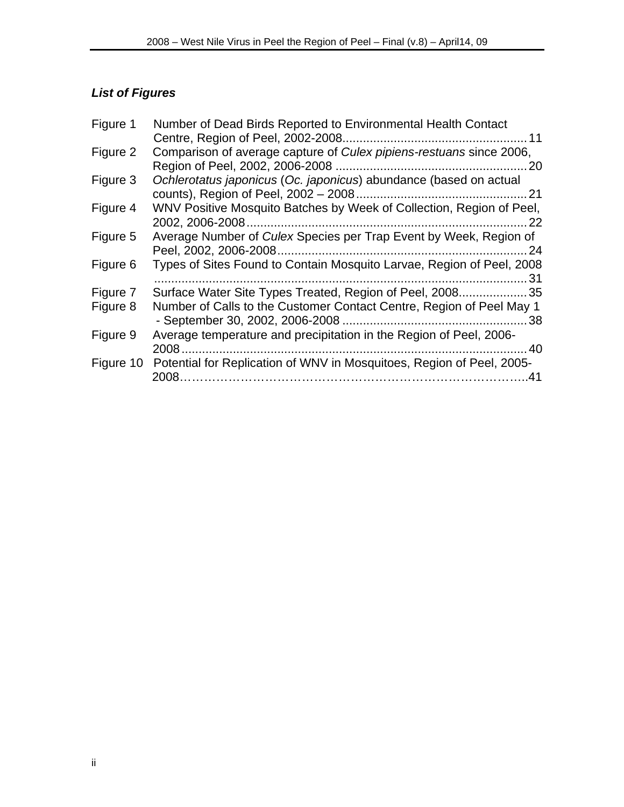# *List of Figures*

| Figure 1  | Number of Dead Birds Reported to Environmental Health Contact                 |
|-----------|-------------------------------------------------------------------------------|
|           |                                                                               |
| Figure 2  | Comparison of average capture of Culex pipiens-restuans since 2006,           |
|           |                                                                               |
| Figure 3  | Ochlerotatus japonicus (Oc. japonicus) abundance (based on actual             |
|           |                                                                               |
| Figure 4  | WNV Positive Mosquito Batches by Week of Collection, Region of Peel,          |
|           | -22                                                                           |
| Figure 5  | Average Number of Culex Species per Trap Event by Week, Region of<br>. 24     |
| Figure 6  | Types of Sites Found to Contain Mosquito Larvae, Region of Peel, 2008<br>31   |
| Figure 7  | Surface Water Site Types Treated, Region of Peel, 200835                      |
| Figure 8  | Number of Calls to the Customer Contact Centre, Region of Peel May 1          |
|           |                                                                               |
| Figure 9  | Average temperature and precipitation in the Region of Peel, 2006-            |
|           |                                                                               |
| Figure 10 | Potential for Replication of WNV in Mosquitoes, Region of Peel, 2005-<br>2008 |
|           |                                                                               |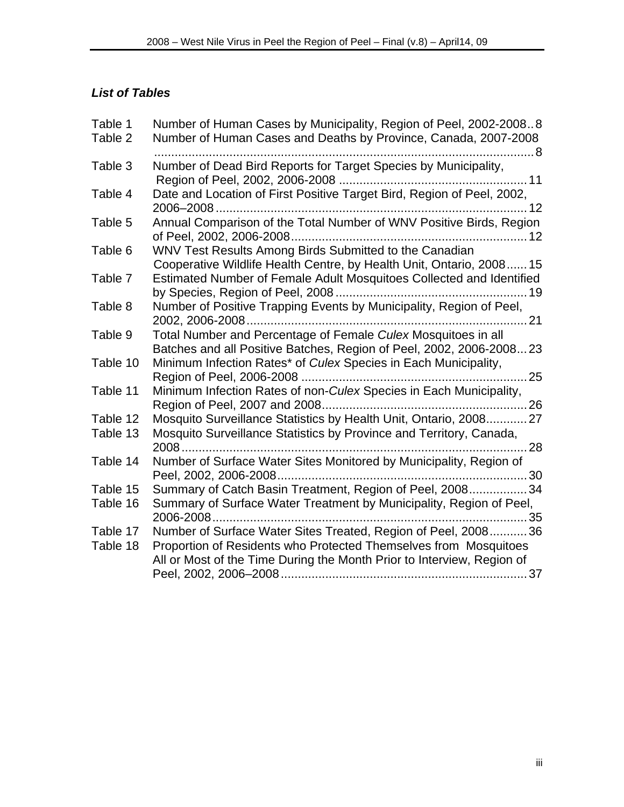## *List of Tables*

| Table 1  | Number of Human Cases by Municipality, Region of Peel, 2002-20088      |
|----------|------------------------------------------------------------------------|
| Table 2  | Number of Human Cases and Deaths by Province, Canada, 2007-2008        |
|          |                                                                        |
| Table 3  | Number of Dead Bird Reports for Target Species by Municipality,        |
|          |                                                                        |
| Table 4  | Date and Location of First Positive Target Bird, Region of Peel, 2002, |
|          | 12                                                                     |
| Table 5  | Annual Comparison of the Total Number of WNV Positive Birds, Region    |
|          |                                                                        |
| Table 6  | WNV Test Results Among Birds Submitted to the Canadian                 |
|          | Cooperative Wildlife Health Centre, by Health Unit, Ontario, 2008 15   |
| Table 7  | Estimated Number of Female Adult Mosquitoes Collected and Identified   |
|          |                                                                        |
| Table 8  | Number of Positive Trapping Events by Municipality, Region of Peel,    |
| Table 9  | Total Number and Percentage of Female Culex Mosquitoes in all          |
|          | Batches and all Positive Batches, Region of Peel, 2002, 2006-200823    |
| Table 10 | Minimum Infection Rates* of Culex Species in Each Municipality,        |
|          |                                                                        |
| Table 11 | Minimum Infection Rates of non-Culex Species in Each Municipality,     |
|          |                                                                        |
| Table 12 | Mosquito Surveillance Statistics by Health Unit, Ontario, 2008 27      |
| Table 13 | Mosquito Surveillance Statistics by Province and Territory, Canada,    |
|          | $\dots 28$                                                             |
| Table 14 | Number of Surface Water Sites Monitored by Municipality, Region of     |
|          |                                                                        |
| Table 15 | Summary of Catch Basin Treatment, Region of Peel, 200834               |
| Table 16 | Summary of Surface Water Treatment by Municipality, Region of Peel,    |
|          | 2006-2008                                                              |
| Table 17 | Number of Surface Water Sites Treated, Region of Peel, 200836          |
| Table 18 | Proportion of Residents who Protected Themselves from Mosquitoes       |
|          | All or Most of the Time During the Month Prior to Interview, Region of |
|          |                                                                        |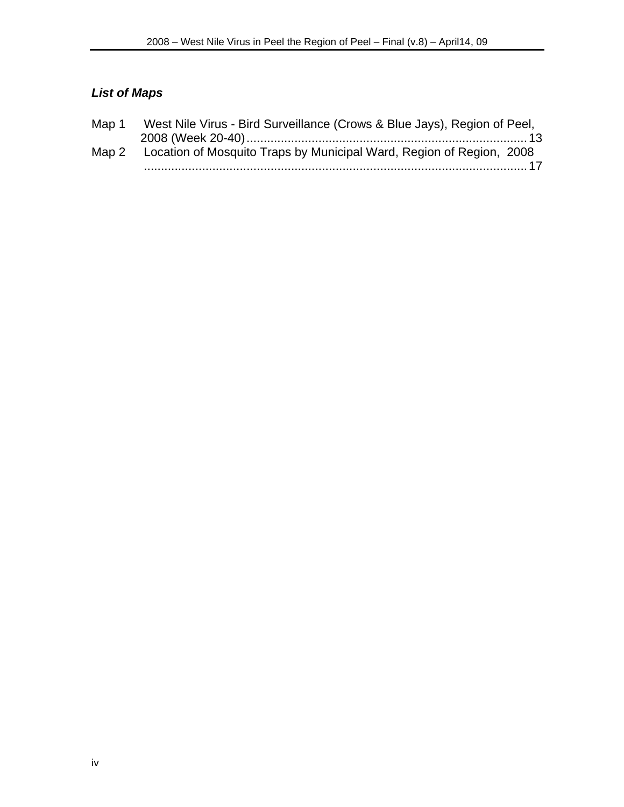# *List of Maps*

| Map 1 | West Nile Virus - Bird Surveillance (Crows & Blue Jays), Region of Peel,   |
|-------|----------------------------------------------------------------------------|
|       |                                                                            |
|       | Map 2 Location of Mosquito Traps by Municipal Ward, Region of Region, 2008 |
|       |                                                                            |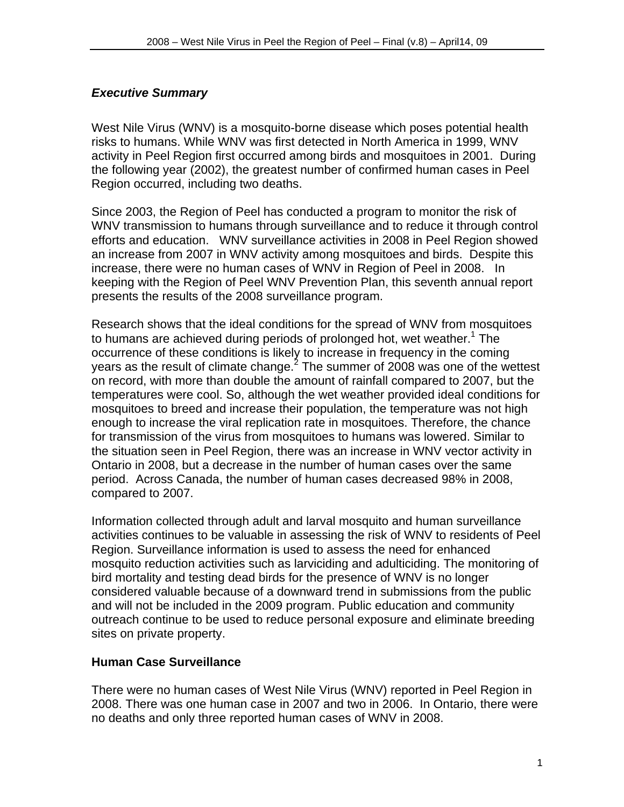## *Executive Summary*

West Nile Virus (WNV) is a mosquito-borne disease which poses potential health risks to humans. While WNV was first detected in North America in 1999, WNV activity in Peel Region first occurred among birds and mosquitoes in 2001. During the following year (2002), the greatest number of confirmed human cases in Peel Region occurred, including two deaths.

Since 2003, the Region of Peel has conducted a program to monitor the risk of WNV transmission to humans through surveillance and to reduce it through control efforts and education. WNV surveillance activities in 2008 in Peel Region showed an increase from 2007 in WNV activity among mosquitoes and birds. Despite this increase, there were no human cases of WNV in Region of Peel in 2008. In keeping with the Region of Peel WNV Prevention Plan, this seventh annual report presents the results of the 2008 surveillance program.

Research shows that the ideal conditions for the spread of WNV from mosquitoes to humans are achieved during periods of prolonged hot, wet weather.<sup>1</sup> The occurrence of these conditions is likely to increase in frequency in the coming years as the result of climate change. $2$  The summer of 2008 was one of the wettest on record, with more than double the amount of rainfall compared to 2007, but the temperatures were cool. So, although the wet weather provided ideal conditions for mosquitoes to breed and increase their population, the temperature was not high enough to increase the viral replication rate in mosquitoes. Therefore, the chance for transmission of the virus from mosquitoes to humans was lowered. Similar to the situation seen in Peel Region, there was an increase in WNV vector activity in Ontario in 2008, but a decrease in the number of human cases over the same period. Across Canada, the number of human cases decreased 98% in 2008, compared to 2007.

Information collected through adult and larval mosquito and human surveillance activities continues to be valuable in assessing the risk of WNV to residents of Peel Region. Surveillance information is used to assess the need for enhanced mosquito reduction activities such as larviciding and adulticiding. The monitoring of bird mortality and testing dead birds for the presence of WNV is no longer considered valuable because of a downward trend in submissions from the public and will not be included in the 2009 program. Public education and community outreach continue to be used to reduce personal exposure and eliminate breeding sites on private property.

## **Human Case Surveillance**

There were no human cases of West Nile Virus (WNV) reported in Peel Region in 2008. There was one human case in 2007 and two in 2006. In Ontario, there were no deaths and only three reported human cases of WNV in 2008.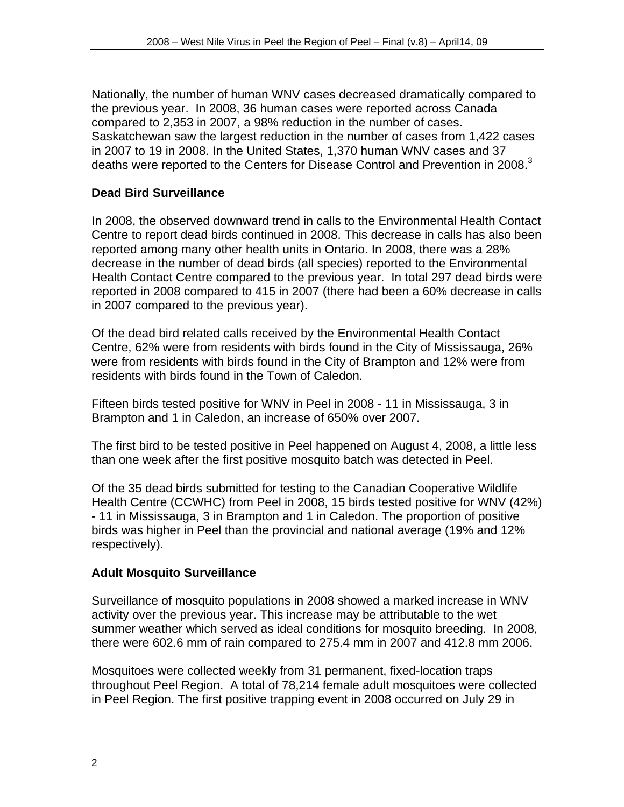Nationally, the number of human WNV cases decreased dramatically compared to the previous year. In 2008, 36 human cases were reported across Canada compared to 2,353 in 2007, a 98% reduction in the number of cases. Saskatchewan saw the largest reduction in the number of cases from 1,422 cases in 2007 to 19 in 2008. In the United States, 1,370 human WNV cases and 37 deaths were reported to the Centers for Disease Control and Prevention in 2008.<sup>3</sup>

## **Dead Bird Surveillance**

In 2008, the observed downward trend in calls to the Environmental Health Contact Centre to report dead birds continued in 2008. This decrease in calls has also been reported among many other health units in Ontario. In 2008, there was a 28% decrease in the number of dead birds (all species) reported to the Environmental Health Contact Centre compared to the previous year. In total 297 dead birds were reported in 2008 compared to 415 in 2007 (there had been a 60% decrease in calls in 2007 compared to the previous year).

Of the dead bird related calls received by the Environmental Health Contact Centre, 62% were from residents with birds found in the City of Mississauga, 26% were from residents with birds found in the City of Brampton and 12% were from residents with birds found in the Town of Caledon.

Fifteen birds tested positive for WNV in Peel in 2008 - 11 in Mississauga, 3 in Brampton and 1 in Caledon, an increase of 650% over 2007.

The first bird to be tested positive in Peel happened on August 4, 2008, a little less than one week after the first positive mosquito batch was detected in Peel.

Of the 35 dead birds submitted for testing to the Canadian Cooperative Wildlife Health Centre (CCWHC) from Peel in 2008, 15 birds tested positive for WNV (42%) - 11 in Mississauga, 3 in Brampton and 1 in Caledon. The proportion of positive birds was higher in Peel than the provincial and national average (19% and 12% respectively).

## **Adult Mosquito Surveillance**

Surveillance of mosquito populations in 2008 showed a marked increase in WNV activity over the previous year. This increase may be attributable to the wet summer weather which served as ideal conditions for mosquito breeding. In 2008, there were 602.6 mm of rain compared to 275.4 mm in 2007 and 412.8 mm 2006.

Mosquitoes were collected weekly from 31 permanent, fixed-location traps throughout Peel Region. A total of 78,214 female adult mosquitoes were collected in Peel Region. The first positive trapping event in 2008 occurred on July 29 in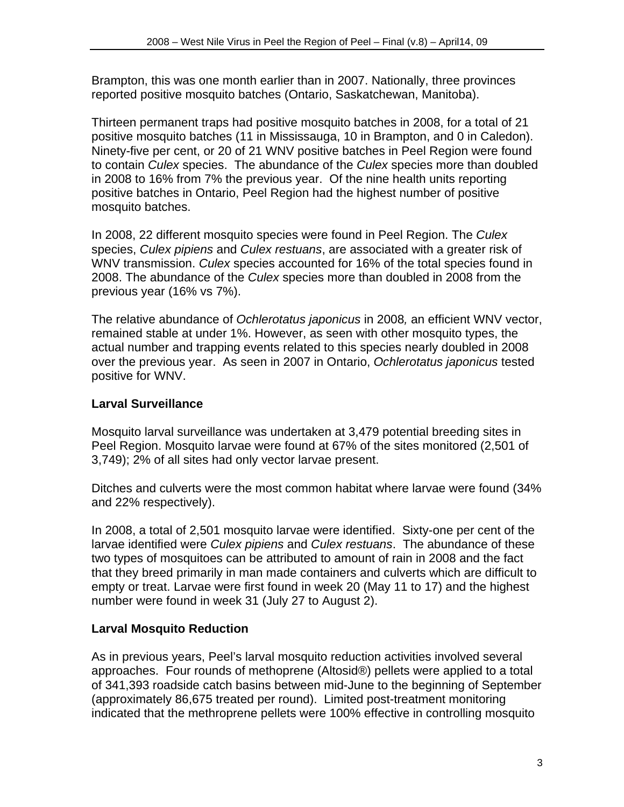Brampton, this was one month earlier than in 2007. Nationally, three provinces reported positive mosquito batches (Ontario, Saskatchewan, Manitoba).

Thirteen permanent traps had positive mosquito batches in 2008, for a total of 21 positive mosquito batches (11 in Mississauga, 10 in Brampton, and 0 in Caledon). Ninety-five per cent, or 20 of 21 WNV positive batches in Peel Region were found to contain *Culex* species. The abundance of the *Culex* species more than doubled in 2008 to 16% from 7% the previous year. Of the nine health units reporting positive batches in Ontario, Peel Region had the highest number of positive mosquito batches.

In 2008, 22 different mosquito species were found in Peel Region. The *Culex* species, *Culex pipiens* and *Culex restuans*, are associated with a greater risk of WNV transmission. *Culex* species accounted for 16% of the total species found in 2008. The abundance of the *Culex* species more than doubled in 2008 from the previous year (16% vs 7%).

The relative abundance of *Ochlerotatus japonicus* in 2008*,* an efficient WNV vector, remained stable at under 1%. However, as seen with other mosquito types, the actual number and trapping events related to this species nearly doubled in 2008 over the previous year. As seen in 2007 in Ontario, *Ochlerotatus japonicus* tested positive for WNV.

## **Larval Surveillance**

Mosquito larval surveillance was undertaken at 3,479 potential breeding sites in Peel Region. Mosquito larvae were found at 67% of the sites monitored (2,501 of 3,749); 2% of all sites had only vector larvae present.

Ditches and culverts were the most common habitat where larvae were found (34% and 22% respectively).

In 2008, a total of 2,501 mosquito larvae were identified. Sixty-one per cent of the larvae identified were *Culex pipiens* and *Culex restuans*. The abundance of these two types of mosquitoes can be attributed to amount of rain in 2008 and the fact that they breed primarily in man made containers and culverts which are difficult to empty or treat. Larvae were first found in week 20 (May 11 to 17) and the highest number were found in week 31 (July 27 to August 2).

## **Larval Mosquito Reduction**

As in previous years, Peel's larval mosquito reduction activities involved several approaches. Four rounds of methoprene (Altosid®) pellets were applied to a total of 341,393 roadside catch basins between mid-June to the beginning of September (approximately 86,675 treated per round). Limited post-treatment monitoring indicated that the methroprene pellets were 100% effective in controlling mosquito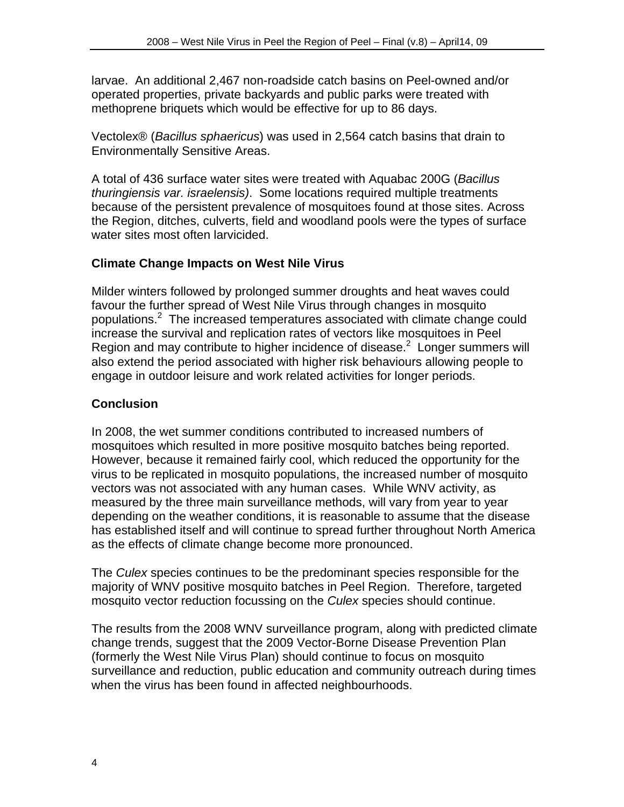larvae. An additional 2,467 non-roadside catch basins on Peel-owned and/or operated properties, private backyards and public parks were treated with methoprene briquets which would be effective for up to 86 days.

Vectolex® (*Bacillus sphaericus*) was used in 2,564 catch basins that drain to Environmentally Sensitive Areas.

A total of 436 surface water sites were treated with Aquabac 200G (*Bacillus thuringiensis var. israelensis)*. Some locations required multiple treatments because of the persistent prevalence of mosquitoes found at those sites. Across the Region, ditches, culverts, field and woodland pools were the types of surface water sites most often larvicided.

## **Climate Change Impacts on West Nile Virus**

Milder winters followed by prolonged summer droughts and heat waves could favour the further spread of West Nile Virus through changes in mosquito populations.<sup>2</sup> The increased temperatures associated with climate change could increase the survival and replication rates of vectors like mosquitoes in Peel Region and may contribute to higher incidence of disease. $2$  Longer summers will also extend the period associated with higher risk behaviours allowing people to engage in outdoor leisure and work related activities for longer periods.

## **Conclusion**

In 2008, the wet summer conditions contributed to increased numbers of mosquitoes which resulted in more positive mosquito batches being reported. However, because it remained fairly cool, which reduced the opportunity for the virus to be replicated in mosquito populations, the increased number of mosquito vectors was not associated with any human cases. While WNV activity, as measured by the three main surveillance methods, will vary from year to year depending on the weather conditions, it is reasonable to assume that the disease has established itself and will continue to spread further throughout North America as the effects of climate change become more pronounced.

The *Culex* species continues to be the predominant species responsible for the majority of WNV positive mosquito batches in Peel Region. Therefore, targeted mosquito vector reduction focussing on the *Culex* species should continue.

The results from the 2008 WNV surveillance program, along with predicted climate change trends, suggest that the 2009 Vector-Borne Disease Prevention Plan (formerly the West Nile Virus Plan) should continue to focus on mosquito surveillance and reduction, public education and community outreach during times when the virus has been found in affected neighbourhoods.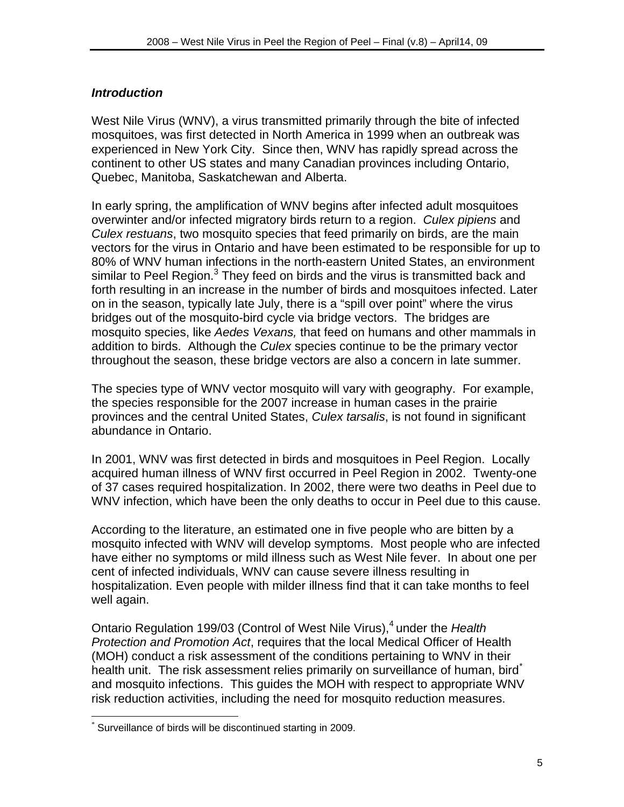#### *Introduction*

West Nile Virus (WNV), a virus transmitted primarily through the bite of infected mosquitoes, was first detected in North America in 1999 when an outbreak was experienced in New York City. Since then, WNV has rapidly spread across the continent to other US states and many Canadian provinces including Ontario, Quebec, Manitoba, Saskatchewan and Alberta.

In early spring, the amplification of WNV begins after infected adult mosquitoes overwinter and/or infected migratory birds return to a region. *Culex pipiens* and *Culex restuans*, two mosquito species that feed primarily on birds, are the main vectors for the virus in Ontario and have been estimated to be responsible for up to 80% of WNV human infections in the north-eastern United States, an environment similar to Peel Region.<sup>3</sup> They feed on birds and the virus is transmitted back and forth resulting in an increase in the number of birds and mosquitoes infected. Later on in the season, typically late July, there is a "spill over point" where the virus bridges out of the mosquito-bird cycle via bridge vectors. The bridges are mosquito species, like *Aedes Vexans,* that feed on humans and other mammals in addition to birds. Although the *Culex* species continue to be the primary vector throughout the season, these bridge vectors are also a concern in late summer.

The species type of WNV vector mosquito will vary with geography. For example, the species responsible for the 2007 increase in human cases in the prairie provinces and the central United States, *Culex tarsalis*, is not found in significant abundance in Ontario.

In 2001, WNV was first detected in birds and mosquitoes in Peel Region. Locally acquired human illness of WNV first occurred in Peel Region in 2002. Twenty-one of 37 cases required hospitalization. In 2002, there were two deaths in Peel due to WNV infection, which have been the only deaths to occur in Peel due to this cause.

According to the literature, an estimated one in five people who are bitten by a mosquito infected with WNV will develop symptoms. Most people who are infected have either no symptoms or mild illness such as West Nile fever. In about one per cent of infected individuals, WNV can cause severe illness resulting in hospitalization. Even people with milder illness find that it can take months to feel well again.

Ontario Regulation 199/03 (Control of West Nile Virus),<sup>4</sup> under the *Health Protection and Promotion Act*, requires that the local Medical Officer of Health (MOH) conduct a risk assessment of the conditions pertaining to WNV in their health unit. The risk assessment relies primarily on surveillance of human, bird and mosquito infections. This guides the MOH with respect to appropriate WNV risk reduction activities, including the need for mosquito reduction measures.

 $\overline{a}$ 

<sup>\*</sup> Surveillance of birds will be discontinued starting in 2009.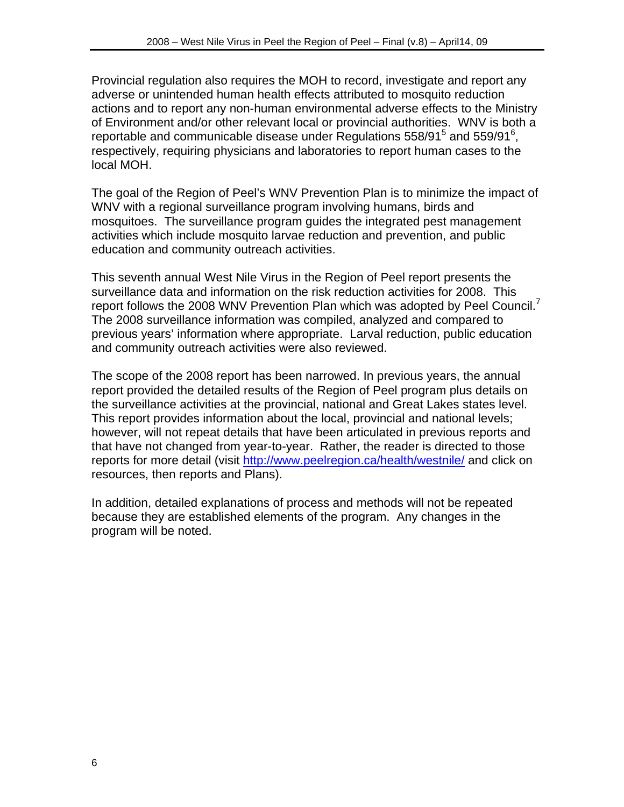Provincial regulation also requires the MOH to record, investigate and report any adverse or unintended human health effects attributed to mosquito reduction actions and to report any non-human environmental adverse effects to the Ministry of Environment and/or other relevant local or provincial authorities. WNV is both a reportable and communicable disease under Regulations  $558/91<sup>5</sup>$  and  $559/91<sup>6</sup>$ , respectively, requiring physicians and laboratories to report human cases to the local MOH.

The goal of the Region of Peel's WNV Prevention Plan is to minimize the impact of WNV with a regional surveillance program involving humans, birds and mosquitoes. The surveillance program guides the integrated pest management activities which include mosquito larvae reduction and prevention, and public education and community outreach activities.

This seventh annual West Nile Virus in the Region of Peel report presents the surveillance data and information on the risk reduction activities for 2008. This report follows the 2008 WNV Prevention Plan which was adopted by Peel Council.<sup>7</sup> The 2008 surveillance information was compiled, analyzed and compared to previous years' information where appropriate. Larval reduction, public education and community outreach activities were also reviewed.

The scope of the 2008 report has been narrowed. In previous years, the annual report provided the detailed results of the Region of Peel program plus details on the surveillance activities at the provincial, national and Great Lakes states level. This report provides information about the local, provincial and national levels; however, will not repeat details that have been articulated in previous reports and that have not changed from year-to-year. Rather, the reader is directed to those reports for more detail (visit http://www.peelregion.ca/health/westnile/ and click on resources, then reports and Plans).

In addition, detailed explanations of process and methods will not be repeated because they are established elements of the program. Any changes in the program will be noted.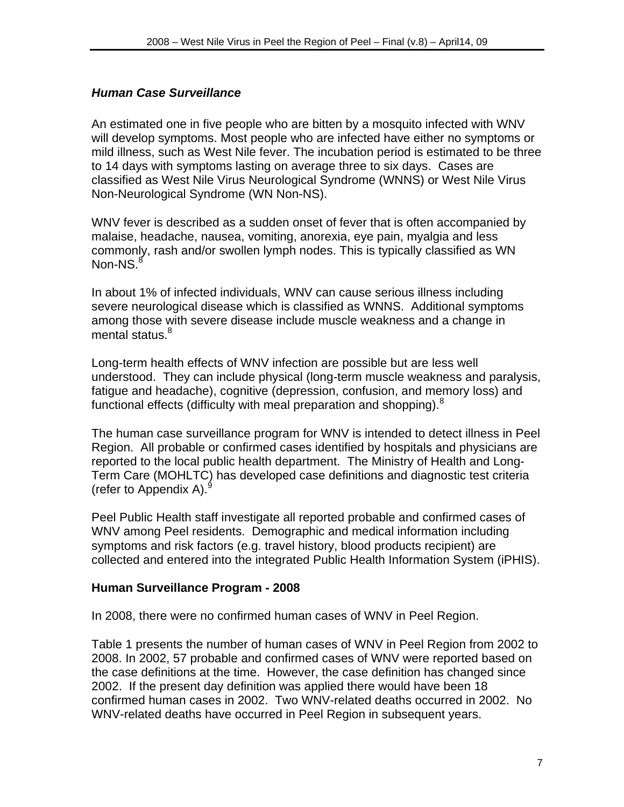#### *Human Case Surveillance*

An estimated one in five people who are bitten by a mosquito infected with WNV will develop symptoms. Most people who are infected have either no symptoms or mild illness, such as West Nile fever. The incubation period is estimated to be three to 14 days with symptoms lasting on average three to six days. Cases are classified as West Nile Virus Neurological Syndrome (WNNS) or West Nile Virus Non-Neurological Syndrome (WN Non-NS).

WNV fever is described as a sudden onset of fever that is often accompanied by malaise, headache, nausea, vomiting, anorexia, eye pain, myalgia and less commonly, rash and/or swollen lymph nodes. This is typically classified as WN  $Non-NS.<sup>8</sup>$ 

In about 1% of infected individuals, WNV can cause serious illness including severe neurological disease which is classified as WNNS. Additional symptoms among those with severe disease include muscle weakness and a change in mental status.<sup>8</sup>

Long-term health effects of WNV infection are possible but are less well understood. They can include physical (long-term muscle weakness and paralysis, fatigue and headache), cognitive (depression, confusion, and memory loss) and functional effects (difficulty with meal preparation and shopping). $8$ 

The human case surveillance program for WNV is intended to detect illness in Peel Region. All probable or confirmed cases identified by hospitals and physicians are reported to the local public health department. The Ministry of Health and Long-Term Care (MOHLTC) has developed case definitions and diagnostic test criteria (refer to Appendix A). $^9$ 

Peel Public Health staff investigate all reported probable and confirmed cases of WNV among Peel residents. Demographic and medical information including symptoms and risk factors (e.g. travel history, blood products recipient) are collected and entered into the integrated Public Health Information System (iPHIS).

#### **Human Surveillance Program - 2008**

In 2008, there were no confirmed human cases of WNV in Peel Region.

Table 1 presents the number of human cases of WNV in Peel Region from 2002 to 2008. In 2002, 57 probable and confirmed cases of WNV were reported based on the case definitions at the time. However, the case definition has changed since 2002. If the present day definition was applied there would have been 18 confirmed human cases in 2002. Two WNV-related deaths occurred in 2002. No WNV-related deaths have occurred in Peel Region in subsequent years.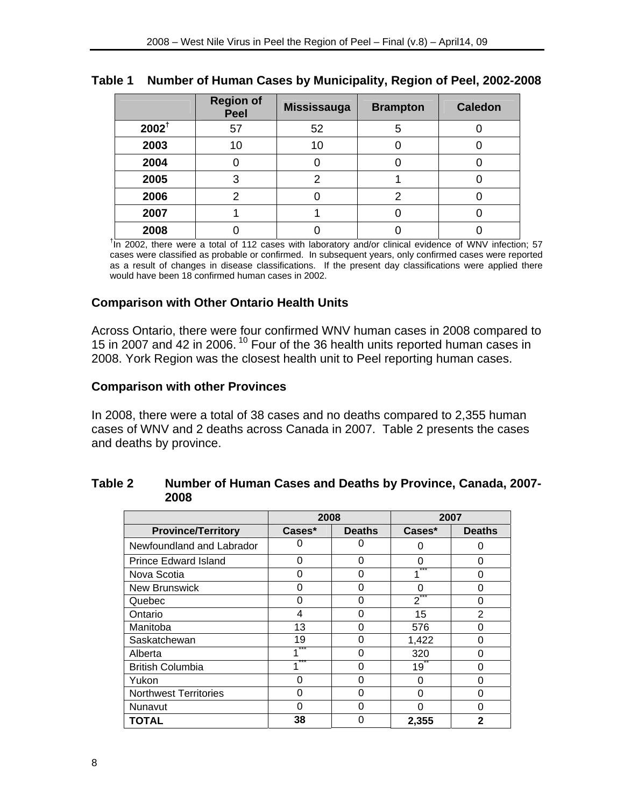## **Table 1 Number of Human Cases by Municipality, Region of Peel, 2002-2008**

|                  | <b>Region of</b><br><b>Peel</b> | <b>Mississauga</b> | <b>Brampton</b> | <b>Caledon</b> |
|------------------|---------------------------------|--------------------|-----------------|----------------|
| $2002^{\dagger}$ | 57                              | 52                 | 5               |                |
| 2003             | 10                              | 10                 |                 |                |
| 2004             |                                 |                    |                 |                |
| 2005             | 3                               |                    |                 |                |
| 2006             | っ                               |                    | 2               |                |
| 2007             |                                 |                    |                 |                |
| 2008             |                                 |                    |                 |                |

<sup>t</sup>In 2002, there were a total of 112 cases with laboratory and/or clinical evidence of WNV infection; 57 cases were classified as probable or confirmed. In subsequent years, only confirmed cases were reported as a result of changes in disease classifications. If the present day classifications were applied there would have been 18 confirmed human cases in 2002.

#### **Comparison with Other Ontario Health Units**

Across Ontario, there were four confirmed WNV human cases in 2008 compared to 15 in 2007 and 42 in 2006. 10 Four of the 36 health units reported human cases in 2008. York Region was the closest health unit to Peel reporting human cases.

#### **Comparison with other Provinces**

In 2008, there were a total of 38 cases and no deaths compared to 2,355 human cases of WNV and 2 deaths across Canada in 2007. Table 2 presents the cases and deaths by province.

# **Table 2 Number of Human Cases and Deaths by Province, Canada, 2007- 2008**

|                              | 2008                    |          | 2007            |                |
|------------------------------|-------------------------|----------|-----------------|----------------|
| <b>Province/Territory</b>    | Cases*<br><b>Deaths</b> |          | Cases*          | <b>Deaths</b>  |
| Newfoundland and Labrador    |                         | Ω        |                 | ∩              |
| <b>Prince Edward Island</b>  | 0                       | $\Omega$ | 0               | ∩              |
| Nova Scotia                  | Ω                       | 0        |                 |                |
| <b>New Brunswick</b>         | n                       | 0        |                 | n              |
| Quebec                       | O                       | 0        | 2               | ∩              |
| Ontario                      | 4                       | ∩        | 15              | $\overline{2}$ |
| Manitoba                     | 13                      | 0        | 576             |                |
| Saskatchewan                 | 19                      | O        | 1,422           | ი              |
| Alberta                      |                         | ∩        | 320             | ∩              |
| <b>British Columbia</b>      |                         | 0        | 19 <sup>7</sup> |                |
| Yukon                        |                         | 0        | O               | ი              |
| <b>Northwest Territories</b> | O                       | 0        | O               | ∩              |
| Nunavut                      |                         | ი        |                 |                |
| <b>TOTAL</b>                 | 38                      | Ω        | 2,355           | $\mathbf{2}$   |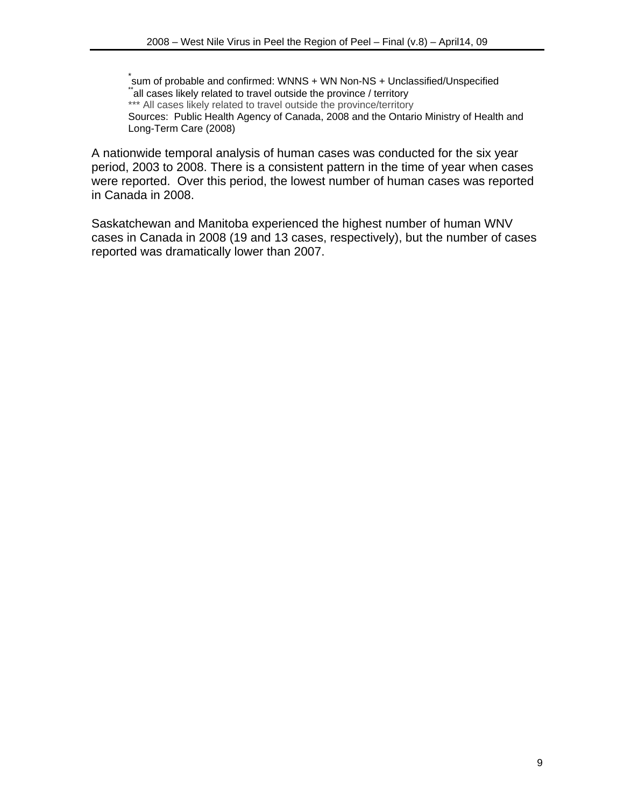\*<br>sum of probable and confirmed: WNNS + WN Non-NS + Unclassified/Unspecified \*all cases likely related to travel outside the province / territory \*\*\* All cases likely related to travel outside the province/territory Sources: Public Health Agency of Canada, 2008 and the Ontario Ministry of Health and Long-Term Care (2008)

A nationwide temporal analysis of human cases was conducted for the six year period, 2003 to 2008. There is a consistent pattern in the time of year when cases were reported. Over this period, the lowest number of human cases was reported in Canada in 2008.

Saskatchewan and Manitoba experienced the highest number of human WNV cases in Canada in 2008 (19 and 13 cases, respectively), but the number of cases reported was dramatically lower than 2007.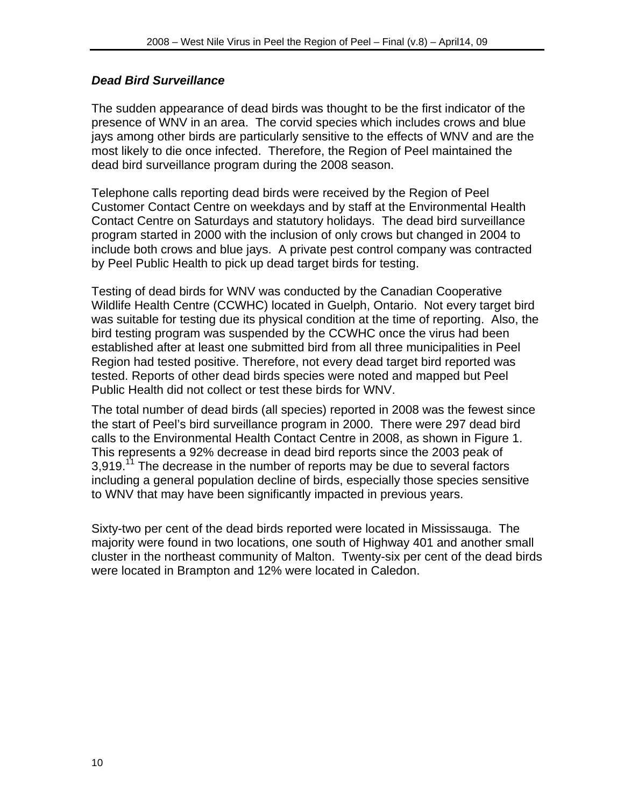#### *Dead Bird Surveillance*

The sudden appearance of dead birds was thought to be the first indicator of the presence of WNV in an area. The corvid species which includes crows and blue jays among other birds are particularly sensitive to the effects of WNV and are the most likely to die once infected. Therefore, the Region of Peel maintained the dead bird surveillance program during the 2008 season.

Telephone calls reporting dead birds were received by the Region of Peel Customer Contact Centre on weekdays and by staff at the Environmental Health Contact Centre on Saturdays and statutory holidays. The dead bird surveillance program started in 2000 with the inclusion of only crows but changed in 2004 to include both crows and blue jays. A private pest control company was contracted by Peel Public Health to pick up dead target birds for testing.

Testing of dead birds for WNV was conducted by the Canadian Cooperative Wildlife Health Centre (CCWHC) located in Guelph, Ontario. Not every target bird was suitable for testing due its physical condition at the time of reporting. Also, the bird testing program was suspended by the CCWHC once the virus had been established after at least one submitted bird from all three municipalities in Peel Region had tested positive. Therefore, not every dead target bird reported was tested. Reports of other dead birds species were noted and mapped but Peel Public Health did not collect or test these birds for WNV.

The total number of dead birds (all species) reported in 2008 was the fewest since the start of Peel's bird surveillance program in 2000. There were 297 dead bird calls to the Environmental Health Contact Centre in 2008, as shown in Figure 1. This represents a 92% decrease in dead bird reports since the 2003 peak of 3,919.<sup>11</sup> The decrease in the number of reports may be due to several factors including a general population decline of birds, especially those species sensitive to WNV that may have been significantly impacted in previous years.

Sixty-two per cent of the dead birds reported were located in Mississauga. The majority were found in two locations, one south of Highway 401 and another small cluster in the northeast community of Malton. Twenty-six per cent of the dead birds were located in Brampton and 12% were located in Caledon.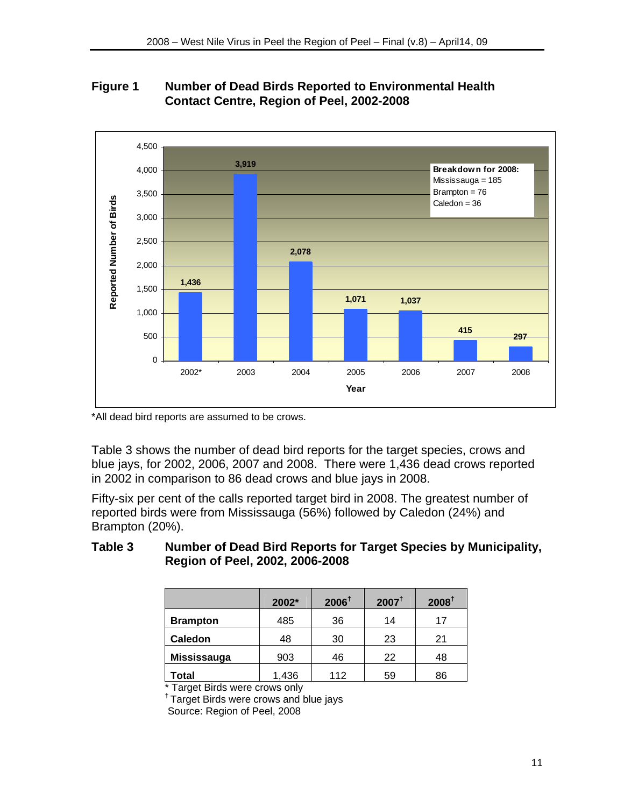## **Figure 1 Number of Dead Birds Reported to Environmental Health Contact Centre, Region of Peel, 2002-2008**



\*All dead bird reports are assumed to be crows.

Table 3 shows the number of dead bird reports for the target species, crows and blue jays, for 2002, 2006, 2007 and 2008. There were 1,436 dead crows reported in 2002 in comparison to 86 dead crows and blue jays in 2008.

Fifty-six per cent of the calls reported target bird in 2008. The greatest number of reported birds were from Mississauga (56%) followed by Caledon (24%) and Brampton (20%).

## **Table 3 Number of Dead Bird Reports for Target Species by Municipality, Region of Peel, 2002, 2006-2008**

|                 | 2002* | $2006^{\dagger}$ | $2007^{\dagger}$ | $2008^{\dagger}$ |
|-----------------|-------|------------------|------------------|------------------|
| <b>Brampton</b> | 485   | 36               | 14               | 17               |
| <b>Caledon</b>  | 48    | 30               | 23               | 21               |
| Mississauga     | 903   | 46               | 22               | 48               |
| Total           | 1,436 | 112              | 59               | 86               |

\* Target Birds were crows only

† Target Birds were crows and blue jays

Source: Region of Peel, 2008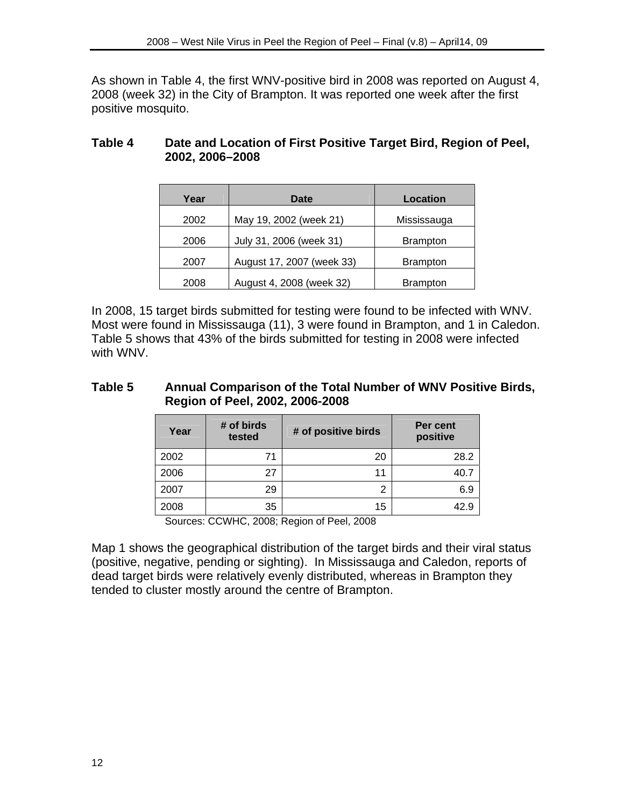As shown in Table 4, the first WNV-positive bird in 2008 was reported on August 4, 2008 (week 32) in the City of Brampton. It was reported one week after the first positive mosquito.

## **Table 4 Date and Location of First Positive Target Bird, Region of Peel, 2002, 2006–2008**

| Year | Date                      | Location        |
|------|---------------------------|-----------------|
| 2002 | May 19, 2002 (week 21)    | Mississauga     |
| 2006 | July 31, 2006 (week 31)   | <b>Brampton</b> |
| 2007 | August 17, 2007 (week 33) | <b>Brampton</b> |
| 2008 | August 4, 2008 (week 32)  | <b>Brampton</b> |

In 2008, 15 target birds submitted for testing were found to be infected with WNV. Most were found in Mississauga (11), 3 were found in Brampton, and 1 in Caledon. Table 5 shows that 43% of the birds submitted for testing in 2008 were infected with WNV.

#### **Table 5 Annual Comparison of the Total Number of WNV Positive Birds, Region of Peel, 2002, 2006-2008**

| Year | # of birds<br>tested | # of positive birds | Per cent<br>positive |
|------|----------------------|---------------------|----------------------|
| 2002 | 71                   | 20                  | 28.2                 |
| 2006 | 27                   | 11                  | 40.7                 |
| 2007 | 29                   | 2                   | 6.9                  |
| 2008 | 35                   | 15                  | 42.9                 |

Sources: CCWHC, 2008; Region of Peel, 2008

Map 1 shows the geographical distribution of the target birds and their viral status (positive, negative, pending or sighting). In Mississauga and Caledon, reports of dead target birds were relatively evenly distributed, whereas in Brampton they tended to cluster mostly around the centre of Brampton.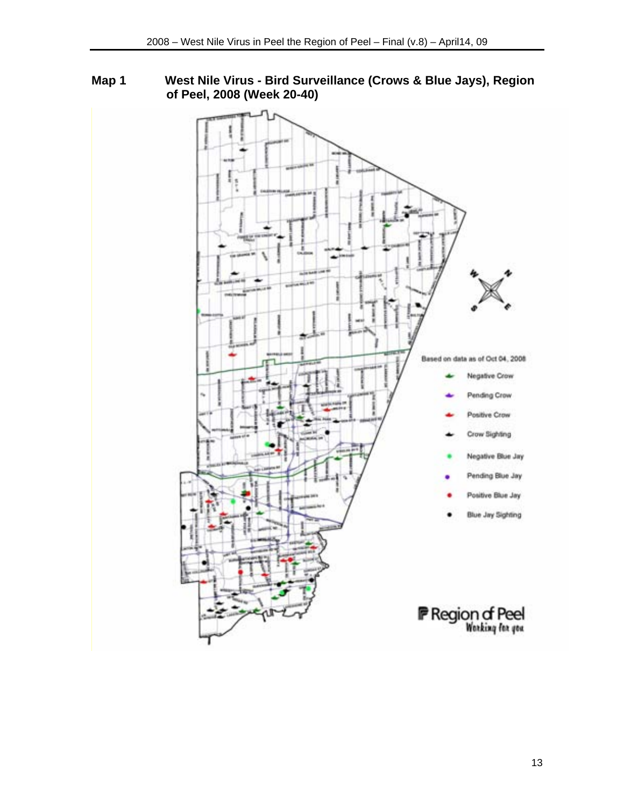**Map 1 West Nile Virus - Bird Surveillance (Crows & Blue Jays), Region of Peel, 2008 (Week 20-40)** 

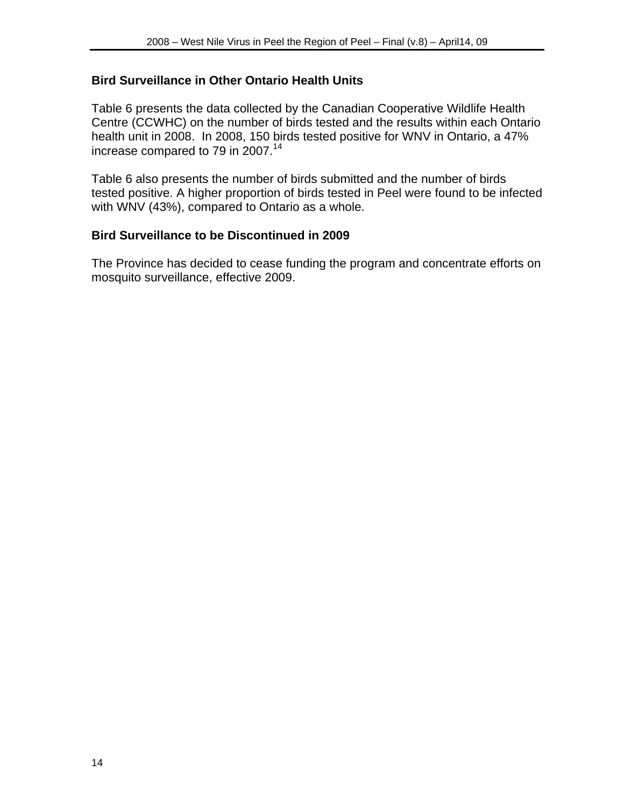#### **Bird Surveillance in Other Ontario Health Units**

Table 6 presents the data collected by the Canadian Cooperative Wildlife Health Centre (CCWHC) on the number of birds tested and the results within each Ontario health unit in 2008. In 2008, 150 birds tested positive for WNV in Ontario, a 47% increase compared to 79 in 2007.<sup>14</sup>

Table 6 also presents the number of birds submitted and the number of birds tested positive. A higher proportion of birds tested in Peel were found to be infected with WNV (43%), compared to Ontario as a whole.

#### **Bird Surveillance to be Discontinued in 2009**

The Province has decided to cease funding the program and concentrate efforts on mosquito surveillance, effective 2009.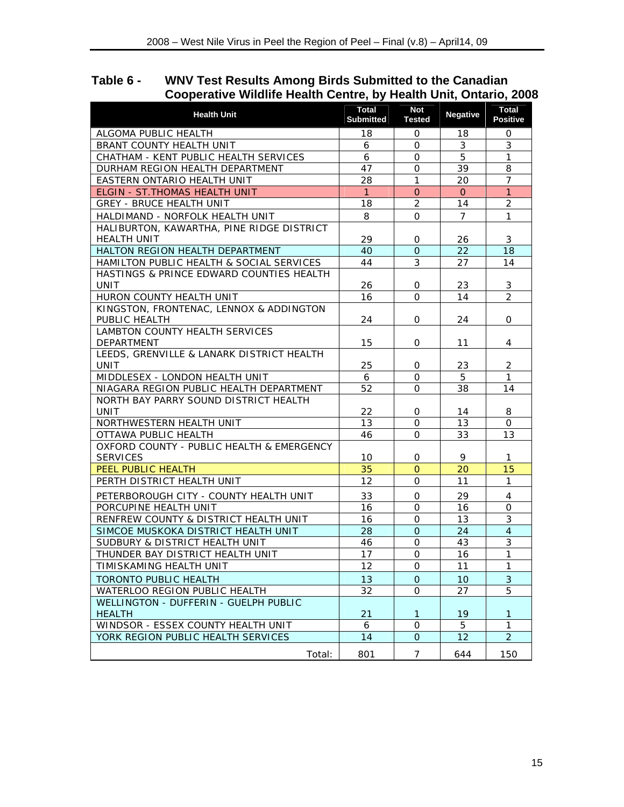| Table 6 - | <b>WNV Test Results Among Birds Submitted to the Canadian</b>     |
|-----------|-------------------------------------------------------------------|
|           | Cooperative Wildlife Health Centre, by Health Unit, Ontario, 2008 |

| <b>Health Unit</b>                                              | <b>Total</b><br><b>Submitted</b> | <b>Not</b><br><b>Tested</b> | Negative        | <b>Total</b><br>Positive |
|-----------------------------------------------------------------|----------------------------------|-----------------------------|-----------------|--------------------------|
| ALGOMA PUBLIC HEALTH                                            | 18                               | 0                           | 18              | 0                        |
| BRANT COUNTY HEALTH UNIT                                        | 6                                | 0                           | 3               | 3                        |
| CHATHAM - KENT PUBLIC HEALTH SERVICES                           | 6                                | 0                           | 5               | $\mathbf{1}$             |
| DURHAM REGION HEALTH DEPARTMENT                                 | 47                               | 0                           | 39              | 8                        |
| EASTERN ONTARIO HEALTH UNIT                                     | 28                               | $\mathbf{1}$                | 20              | $\overline{7}$           |
| ELGIN - ST. THOMAS HEALTH UNIT                                  | $\mathbf{1}$                     | $\Omega$                    | $\overline{O}$  | $\mathbf{1}$             |
| <b>GREY - BRUCE HEALTH UNIT</b>                                 | 18                               | 2                           | 14              | $\overline{2}$           |
| HALDIMAND - NORFOLK HEALTH UNIT                                 | 8                                | $\mathbf{O}$                | $\overline{7}$  | 1                        |
| HALIBURTON, KAWARTHA, PINE RIDGE DISTRICT<br><b>HEALTH UNIT</b> | 29                               | 0                           | 26              | 3                        |
| HALTON REGION HEALTH DEPARTMENT                                 | 40                               | $\Omega$                    | 22              | 18                       |
| HAMILTON PUBLIC HEALTH & SOCIAL SERVICES                        | 44                               | 3                           | 27              | 14                       |
| HASTINGS & PRINCE EDWARD COUNTIES HEALTH<br><b>UNIT</b>         | 26                               | 0                           | 23              | 3                        |
| HURON COUNTY HEALTH UNIT                                        | 16                               | 0                           | 14              | $\overline{2}$           |
| KINGSTON, FRONTENAC, LENNOX & ADDINGTON                         |                                  |                             |                 |                          |
| PUBLIC HEALTH                                                   | 24                               | 0                           | 24              | 0                        |
| <b>LAMBTON COUNTY HEALTH SERVICES</b>                           |                                  |                             |                 |                          |
| DEPARTMENT                                                      | 15                               | 0                           | 11              | 4                        |
| LEEDS, GRENVILLE & LANARK DISTRICT HEALTH<br>UNIT               | 25                               | 0                           | 23              | 2                        |
| MIDDLESEX - LONDON HEALTH UNIT                                  | 6                                | $\Omega$                    | 5               | $\mathbf{1}$             |
| NIAGARA REGION PUBLIC HEALTH DEPARTMENT                         | 52                               | 0                           | 38              | 14                       |
| NORTH BAY PARRY SOUND DISTRICT HEALTH                           |                                  |                             |                 |                          |
| <b>UNIT</b>                                                     | 22                               | 0                           | 14              | 8                        |
| NORTHWESTERN HEALTH UNIT                                        | 13                               | 0                           | 13              | 0                        |
| OTTAWA PUBLIC HEALTH                                            | 46                               | $\mathbf 0$                 | 33              | 13                       |
| OXFORD COUNTY - PUBLIC HEALTH & EMERGENCY                       |                                  |                             |                 |                          |
| <b>SERVICES</b>                                                 | 10                               | 0                           | 9               | 1                        |
| PEEL PUBLIC HEALTH                                              | 35                               | $\Omega$                    | 20              | 15                       |
| PERTH DISTRICT HEALTH UNIT                                      | 12                               | 0                           | 11              | 1                        |
| PETERBOROUGH CITY - COUNTY HEALTH UNIT                          | 33                               | 0                           | 29              | $\overline{4}$           |
| PORCUPINE HEALTH UNIT                                           | 16                               | 0                           | 16              | $\mathbf{O}$             |
| RENFREW COUNTY & DISTRICT HEALTH UNIT                           | 16                               | 0                           | 13              | 3                        |
| SIMCOE MUSKOKA DISTRICT HEALTH UNIT                             | 28                               | 0                           | 24              | $\overline{4}$           |
| SUDBURY & DISTRICT HEALTH UNIT                                  | 46                               | $\mathbf{O}$                | 43              | 3                        |
| THUNDER BAY DISTRICT HEALTH UNIT                                | 17                               | $\mathbf 0$                 | 16              | $\mathbf{1}$             |
| TIMISKAMING HEALTH UNIT                                         | 12                               | 0                           | 11              | $\mathbf{1}$             |
| <b>TORONTO PUBLIC HEALTH</b>                                    | 13                               | $\overline{O}$              | 10 <sup>°</sup> | 3                        |
| WATERLOO REGION PUBLIC HEALTH                                   | 32                               | 0                           | 27              | 5                        |
| WELLINGTON - DUFFERIN - GUELPH PUBLIC<br><b>HEALTH</b>          | 21                               | $\mathbf 1$                 | 19              | 1                        |
| WINDSOR - ESSEX COUNTY HEALTH UNIT                              | 6                                | 0                           | 5               | $\mathbf{1}$             |
| YORK REGION PUBLIC HEALTH SERVICES                              | 14                               | $\mathbf{O}$                | 12              | $\overline{2}$           |
| Total:                                                          | 801                              | $\overline{7}$              | 644             | 150                      |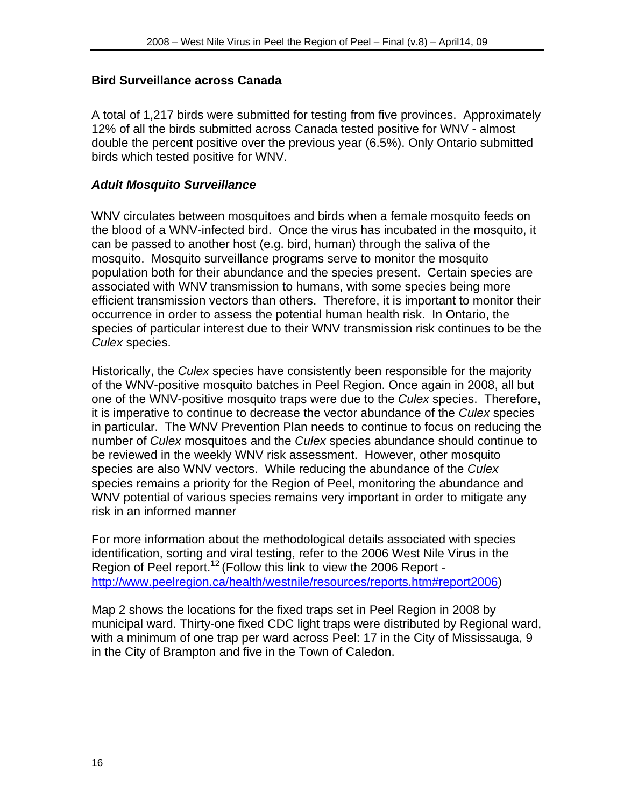#### **Bird Surveillance across Canada**

A total of 1,217 birds were submitted for testing from five provinces. Approximately 12% of all the birds submitted across Canada tested positive for WNV - almost double the percent positive over the previous year (6.5%). Only Ontario submitted birds which tested positive for WNV.

#### *Adult Mosquito Surveillance*

WNV circulates between mosquitoes and birds when a female mosquito feeds on the blood of a WNV-infected bird. Once the virus has incubated in the mosquito, it can be passed to another host (e.g. bird, human) through the saliva of the mosquito. Mosquito surveillance programs serve to monitor the mosquito population both for their abundance and the species present. Certain species are associated with WNV transmission to humans, with some species being more efficient transmission vectors than others. Therefore, it is important to monitor their occurrence in order to assess the potential human health risk. In Ontario, the species of particular interest due to their WNV transmission risk continues to be the *Culex* species.

Historically, the *Culex* species have consistently been responsible for the majority of the WNV-positive mosquito batches in Peel Region. Once again in 2008, all but one of the WNV-positive mosquito traps were due to the *Culex* species. Therefore, it is imperative to continue to decrease the vector abundance of the *Culex* species in particular. The WNV Prevention Plan needs to continue to focus on reducing the number of *Culex* mosquitoes and the *Culex* species abundance should continue to be reviewed in the weekly WNV risk assessment. However, other mosquito species are also WNV vectors. While reducing the abundance of the *Culex* species remains a priority for the Region of Peel, monitoring the abundance and WNV potential of various species remains very important in order to mitigate any risk in an informed manner

For more information about the methodological details associated with species identification, sorting and viral testing, refer to the 2006 West Nile Virus in the Region of Peel report.<sup>12</sup> (Follow this link to view the 2006 Report http://www.peelregion.ca/health/westnile/resources/reports.htm#report2006)

Map 2 shows the locations for the fixed traps set in Peel Region in 2008 by municipal ward. Thirty-one fixed CDC light traps were distributed by Regional ward, with a minimum of one trap per ward across Peel: 17 in the City of Mississauga, 9 in the City of Brampton and five in the Town of Caledon.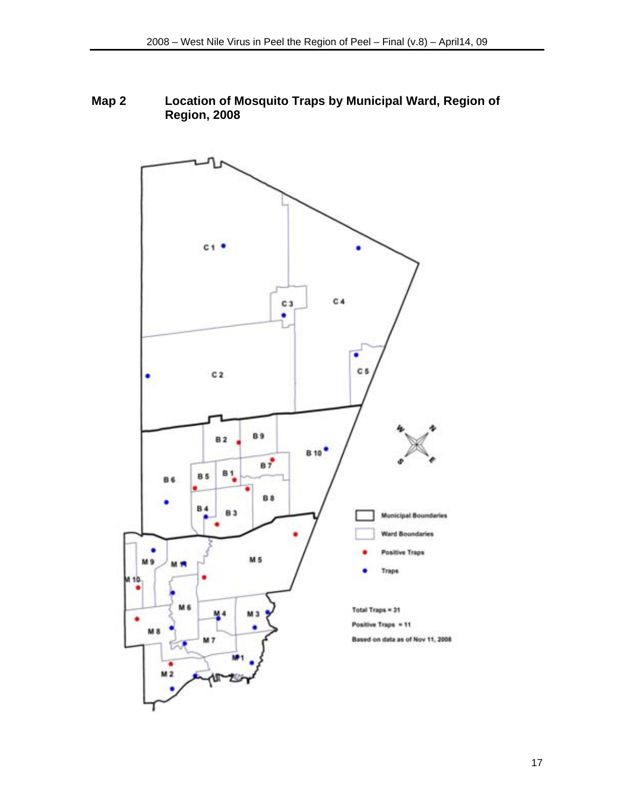## **Map 2 Location of Mosquito Traps by Municipal Ward, Region of Region, 2008**

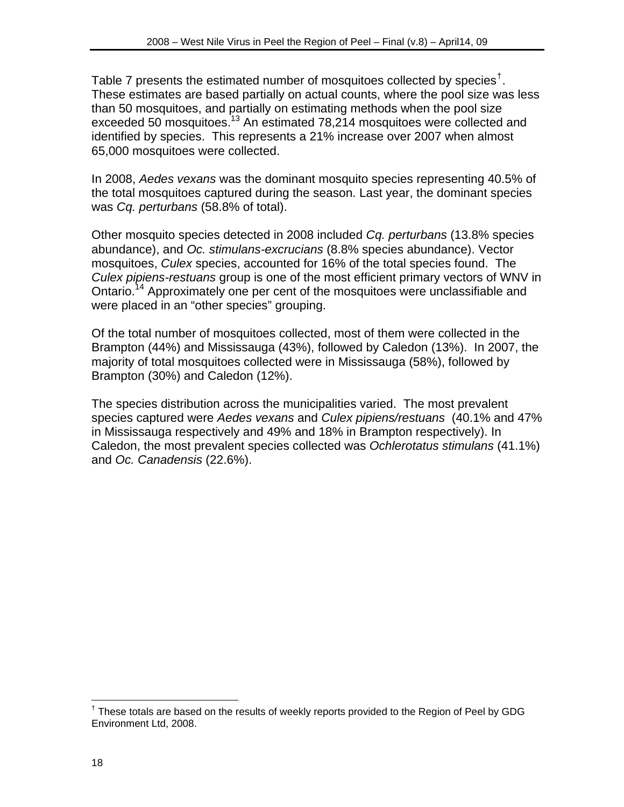Table 7 presents the estimated number of mosquitoes collected by species<sup>†</sup>. These estimates are based partially on actual counts, where the pool size was less than 50 mosquitoes, and partially on estimating methods when the pool size exceeded 50 mosquitoes.<sup>13</sup> An estimated 78,214 mosquitoes were collected and identified by species. This represents a 21% increase over 2007 when almost 65,000 mosquitoes were collected.

In 2008, *Aedes vexans* was the dominant mosquito species representing 40.5% of the total mosquitoes captured during the season. Last year, the dominant species was *Cq. perturbans* (58.8% of total).

Other mosquito species detected in 2008 included *Cq. perturbans* (13.8% species abundance), and *Oc. stimulans-excrucians* (8.8% species abundance). Vector mosquitoes, *Culex* species, accounted for 16% of the total species found. The *Culex pipiens-restuans* group is one of the most efficient primary vectors of WNV in Ontario.<sup>14</sup> Approximately one per cent of the mosquitoes were unclassifiable and were placed in an "other species" grouping.

Of the total number of mosquitoes collected, most of them were collected in the Brampton (44%) and Mississauga (43%), followed by Caledon (13%). In 2007, the majority of total mosquitoes collected were in Mississauga (58%), followed by Brampton (30%) and Caledon (12%).

The species distribution across the municipalities varied. The most prevalent species captured were *Aedes vexans* and *Culex pipiens/restuans* (40.1% and 47% in Mississauga respectively and 49% and 18% in Brampton respectively). In Caledon, the most prevalent species collected was *Ochlerotatus stimulans* (41.1%) and *Oc. Canadensis* (22.6%).

 $\overline{a}$ <sup>†</sup> These totals are based on the results of weekly reports provided to the Region of Peel by GDG Environment Ltd, 2008.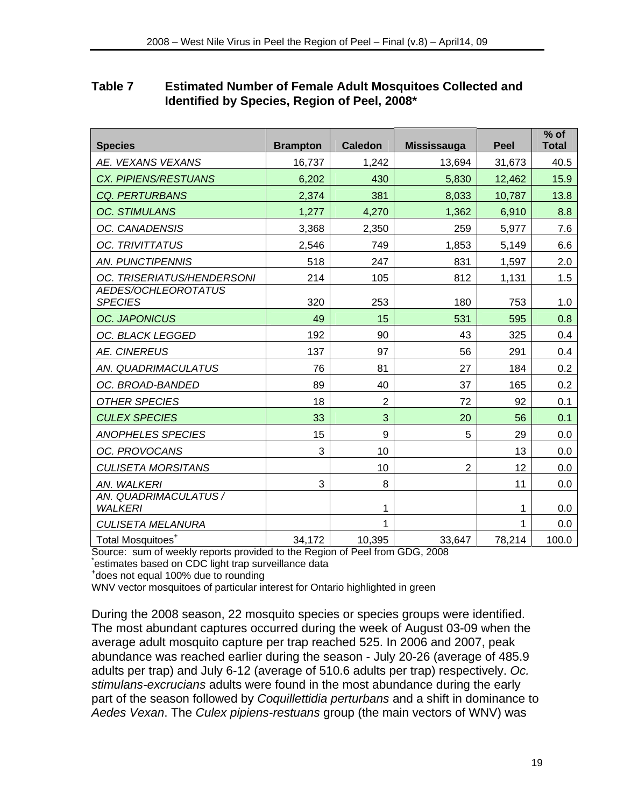## **Table 7 Estimated Number of Female Adult Mosquitoes Collected and Identified by Species, Region of Peel, 2008\***

| <b>Species</b>                          | <b>Brampton</b> | <b>Caledon</b> | <b>Mississauga</b> | <b>Peel</b> | $%$ of<br><b>Total</b> |
|-----------------------------------------|-----------------|----------------|--------------------|-------------|------------------------|
| AE. VEXANS VEXANS                       | 16,737          | 1,242          | 13,694             | 31,673      | 40.5                   |
| <b>CX. PIPIENS/RESTUANS</b>             | 6,202           | 430            | 5,830              | 12,462      | 15.9                   |
| <b>CQ. PERTURBANS</b>                   | 2,374           | 381            | 8,033              | 10,787      | 13.8                   |
| <b>OC. STIMULANS</b>                    | 1,277           | 4,270          | 1,362              | 6,910       | 8.8                    |
| OC. CANADENSIS                          | 3,368           | 2,350          | 259                | 5,977       | 7.6                    |
| <b>OC. TRIVITTATUS</b>                  | 2,546           | 749            | 1,853              | 5,149       | 6.6                    |
| <b>AN. PUNCTIPENNIS</b>                 | 518             | 247            | 831                | 1,597       | 2.0                    |
| OC. TRISERIATUS/HENDERSONI              | 214             | 105            | 812                | 1,131       | 1.5                    |
| AEDES/OCHLEOROTATUS<br><b>SPECIES</b>   | 320             | 253            | 180                | 753         | 1.0                    |
| <b>OC. JAPONICUS</b>                    | 49              | 15             | 531                | 595         | 0.8                    |
| OC. BLACK LEGGED                        | 192             | 90             | 43                 | 325         | 0.4                    |
| <b>AE. CINEREUS</b>                     | 137             | 97             | 56                 | 291         | 0.4                    |
| AN. QUADRIMACULATUS                     | 76              | 81             | 27                 | 184         | 0.2                    |
| OC. BROAD-BANDED                        | 89              | 40             | 37                 | 165         | 0.2                    |
| <b>OTHER SPECIES</b>                    | 18              | $\overline{2}$ | 72                 | 92          | 0.1                    |
| <b>CULEX SPECIES</b>                    | 33              | 3              | 20                 | 56          | 0.1                    |
| <b>ANOPHELES SPECIES</b>                | 15              | 9              | 5                  | 29          | 0.0                    |
| OC. PROVOCANS                           | 3               | 10             |                    | 13          | 0.0                    |
| <b>CULISETA MORSITANS</b>               |                 | 10             | $\overline{2}$     | 12          | 0.0                    |
| AN. WALKERI                             | 3               | 8              |                    | 11          | 0.0                    |
| AN. QUADRIMACULATUS /<br><b>WALKERI</b> |                 | 1              |                    | 1           | 0.0                    |
| <b>CULISETA MELANURA</b>                |                 | 1              |                    | 1           | 0.0                    |
| Total Mosquitoes <sup>+</sup>           | 34,172          | 10,395         | 33,647             | 78,214      | 100.0                  |

Source: sum of weekly reports provided to the Region of Peel from GDG, 2008 \* estimates based on CDC light trap surveillance data +

<sup>+</sup>does not equal 100% due to rounding

WNV vector mosquitoes of particular interest for Ontario highlighted in green

During the 2008 season, 22 mosquito species or species groups were identified. The most abundant captures occurred during the week of August 03-09 when the average adult mosquito capture per trap reached 525. In 2006 and 2007, peak abundance was reached earlier during the season - July 20-26 (average of 485.9 adults per trap) and July 6-12 (average of 510.6 adults per trap) respectively. *Oc. stimulans-excrucians* adults were found in the most abundance during the early part of the season followed by *Coquillettidia perturbans* and a shift in dominance to *Aedes Vexan*. The *Culex pipiens-restuans* group (the main vectors of WNV) was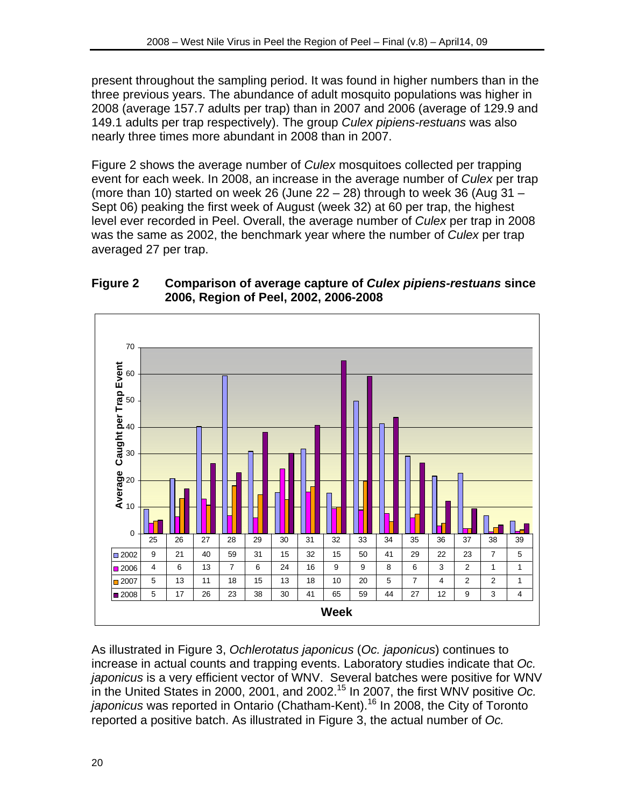present throughout the sampling period. It was found in higher numbers than in the three previous years. The abundance of adult mosquito populations was higher in 2008 (average 157.7 adults per trap) than in 2007 and 2006 (average of 129.9 and 149.1 adults per trap respectively). The group *Culex pipiens-restuans* was also nearly three times more abundant in 2008 than in 2007.

Figure 2 shows the average number of *Culex* mosquitoes collected per trapping event for each week. In 2008, an increase in the average number of *Culex* per trap (more than 10) started on week 26 (June 22 – 28) through to week 36 (Aug 31 – Sept 06) peaking the first week of August (week 32) at 60 per trap, the highest level ever recorded in Peel. Overall, the average number of *Culex* per trap in 2008 was the same as 2002, the benchmark year where the number of *Culex* per trap averaged 27 per trap.





As illustrated in Figure 3, *Ochlerotatus japonicus* (*Oc. japonicus*) continues to increase in actual counts and trapping events. Laboratory studies indicate that *Oc. japonicus* is a very efficient vector of WNV. Several batches were positive for WNV in the United States in 2000, 2001, and 2002.15 In 2007, the first WNV positive *Oc. japonicus* was reported in Ontario (Chatham-Kent).16 In 2008, the City of Toronto reported a positive batch. As illustrated in Figure 3, the actual number of *Oc.*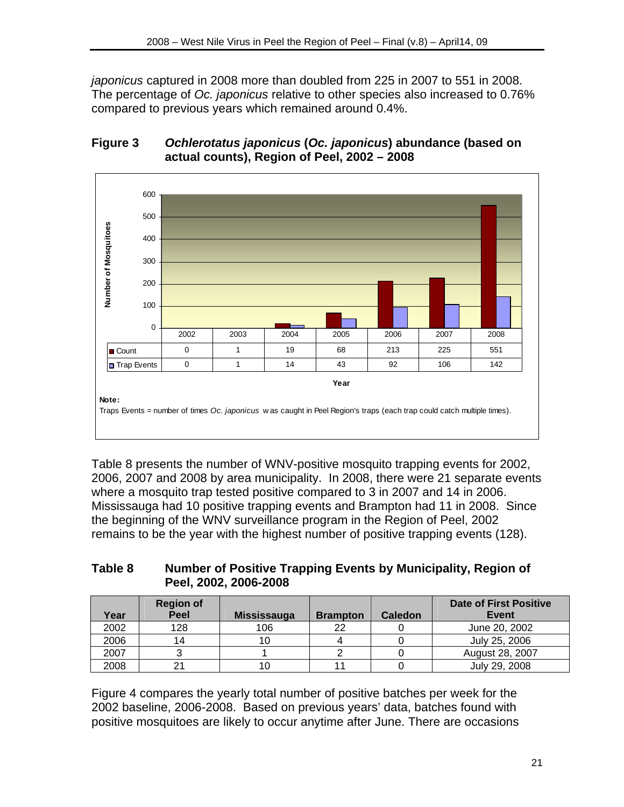*japonicus* captured in 2008 more than doubled from 225 in 2007 to 551 in 2008. The percentage of *Oc. japonicus* relative to other species also increased to 0.76% compared to previous years which remained around 0.4%.

## **Figure 3** *Ochlerotatus japonicus* **(***Oc. japonicus***) abundance (based on actual counts), Region of Peel, 2002 – 2008**



Table 8 presents the number of WNV-positive mosquito trapping events for 2002, 2006, 2007 and 2008 by area municipality. In 2008, there were 21 separate events where a mosquito trap tested positive compared to 3 in 2007 and 14 in 2006. Mississauga had 10 positive trapping events and Brampton had 11 in 2008. Since the beginning of the WNV surveillance program in the Region of Peel, 2002 remains to be the year with the highest number of positive trapping events (128).

## **Table 8 Number of Positive Trapping Events by Municipality, Region of Peel, 2002, 2006-2008**

| Year | <b>Region of</b><br>Peel | <b>Mississauga</b> | <b>Brampton</b> | <b>Caledon</b> | <b>Date of First Positive</b><br>Event |
|------|--------------------------|--------------------|-----------------|----------------|----------------------------------------|
| 2002 | 128                      | 106                | つつ              |                | June 20, 2002                          |
| 2006 | 14                       |                    |                 |                | July 25, 2006                          |
| 2007 |                          |                    |                 |                | August 28, 2007                        |
| 2008 |                          |                    |                 |                | July 29, 2008                          |

Figure 4 compares the yearly total number of positive batches per week for the 2002 baseline, 2006-2008. Based on previous years' data, batches found with positive mosquitoes are likely to occur anytime after June. There are occasions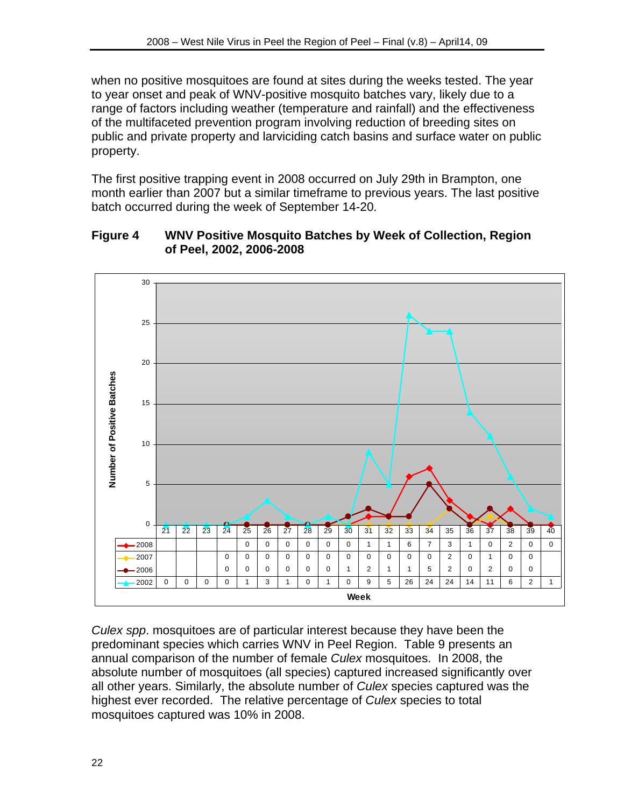when no positive mosquitoes are found at sites during the weeks tested. The year to year onset and peak of WNV-positive mosquito batches vary, likely due to a range of factors including weather (temperature and rainfall) and the effectiveness of the multifaceted prevention program involving reduction of breeding sites on public and private property and larviciding catch basins and surface water on public property.

The first positive trapping event in 2008 occurred on July 29th in Brampton, one month earlier than 2007 but a similar timeframe to previous years. The last positive batch occurred during the week of September 14-20.

#### **Figure 4 WNV Positive Mosquito Batches by Week of Collection, Region of Peel, 2002, 2006-2008**



*Culex spp*. mosquitoes are of particular interest because they have been the predominant species which carries WNV in Peel Region. Table 9 presents an annual comparison of the number of female *Culex* mosquitoes. In 2008, the absolute number of mosquitoes (all species) captured increased significantly over all other years. Similarly, the absolute number of *Culex* species captured was the highest ever recorded. The relative percentage of *Culex* species to total mosquitoes captured was 10% in 2008.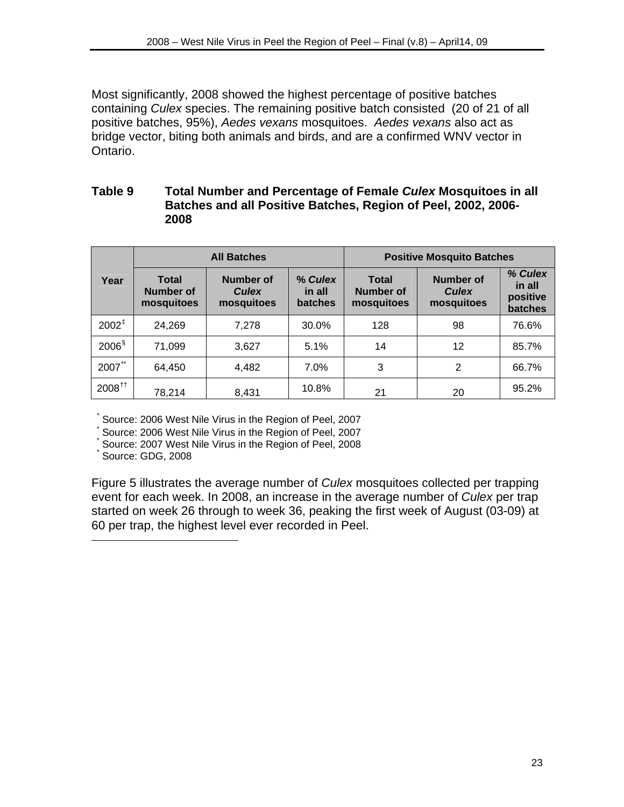Most significantly, 2008 showed the highest percentage of positive batches containing *Culex* species. The remaining positive batch consisted (20 of 21 of all positive batches, 95%), *Aedes vexans* mosquitoes. *Aedes vexans* also act as bridge vector, biting both animals and birds, and are a confirmed WNV vector in Ontario.

#### **Table 9 Total Number and Percentage of Female** *Culex* **Mosquitoes in all Batches and all Positive Batches, Region of Peel, 2002, 2006- 2008**

|                      |                                         | <b>All Batches</b>                      |                              | <b>Positive Mosquito Batches</b>               |                                         |                                          |  |
|----------------------|-----------------------------------------|-----------------------------------------|------------------------------|------------------------------------------------|-----------------------------------------|------------------------------------------|--|
| Year                 | <b>Total</b><br>Number of<br>mosquitoes | Number of<br><b>Culex</b><br>mosquitoes | % Culex<br>in all<br>batches | <b>Total</b><br><b>Number of</b><br>mosquitoes | Number of<br><b>Culex</b><br>mosquitoes | % Culex<br>in all<br>positive<br>batches |  |
| $2002^{\ddagger}$    | 24,269                                  | 7,278                                   | 30.0%                        | 128                                            | 98                                      | 76.6%                                    |  |
| $2006^{\frac{5}{3}}$ | 71,099                                  | 3,627                                   | 5.1%                         | 14                                             | 12                                      | 85.7%                                    |  |
| $***$<br>2007        | 64,450                                  | 4,482                                   | 7.0%                         | 3                                              | 2                                       | 66.7%                                    |  |
| $2008^{+1}$          | 78,214                                  | 8,431                                   | 10.8%                        | 21                                             | 20                                      | 95.2%                                    |  |

\* Source: 2006 West Nile Virus in the Region of Peel, 2007

\* Source: 2006 West Nile Virus in the Region of Peel, 2007

\* Source: 2007 West Nile Virus in the Region of Peel, 2008

\* Source: GDG, 2008

 $\overline{a}$ 

Figure 5 illustrates the average number of *Culex* mosquitoes collected per trapping event for each week. In 2008, an increase in the average number of *Culex* per trap started on week 26 through to week 36, peaking the first week of August (03-09) at 60 per trap, the highest level ever recorded in Peel.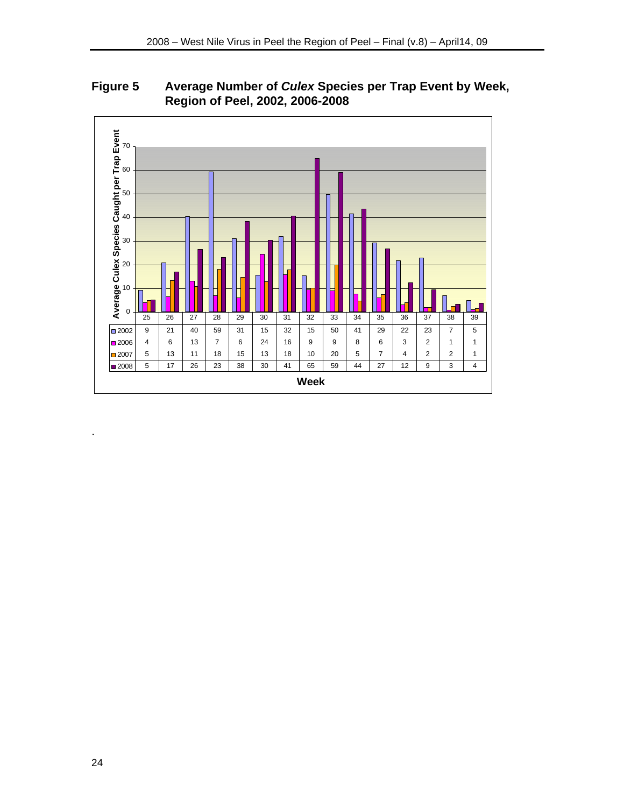**Figure 5 Average Number of** *Culex* **Species per Trap Event by Week, Region of Peel, 2002, 2006-2008** 



.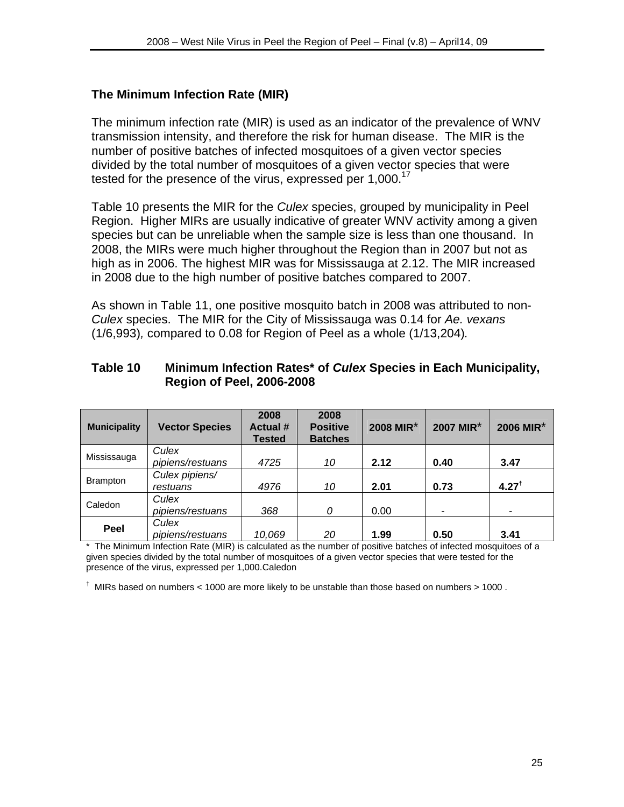## **The Minimum Infection Rate (MIR)**

The minimum infection rate (MIR) is used as an indicator of the prevalence of WNV transmission intensity, and therefore the risk for human disease. The MIR is the number of positive batches of infected mosquitoes of a given vector species divided by the total number of mosquitoes of a given vector species that were tested for the presence of the virus, expressed per  $1,000$ .<sup>17</sup>

Table 10 presents the MIR for the *Culex* species, grouped by municipality in Peel Region. Higher MIRs are usually indicative of greater WNV activity among a given species but can be unreliable when the sample size is less than one thousand. In 2008, the MIRs were much higher throughout the Region than in 2007 but not as high as in 2006. The highest MIR was for Mississauga at 2.12. The MIR increased in 2008 due to the high number of positive batches compared to 2007.

As shown in Table 11, one positive mosquito batch in 2008 was attributed to non-*Culex* species. The MIR for the City of Mississauga was 0.14 for *Ae. vexans*  (1/6,993)*,* compared to 0.08 for Region of Peel as a whole (1/13,204)*.* 

#### **Table 10 Minimum Infection Rates\* of** *Culex* **Species in Each Municipality, Region of Peel, 2006-2008**

| <b>Municipality</b> | <b>Vector Species</b> | 2008<br><b>Actual #</b><br><b>Tested</b> | 2008<br><b>Positive</b><br><b>Batches</b> | 2008 MIR* | 2007 MIR* | 2006 MIR* |
|---------------------|-----------------------|------------------------------------------|-------------------------------------------|-----------|-----------|-----------|
| Mississauga         | Culex                 |                                          |                                           |           |           |           |
|                     | pipiens/restuans      | 4725                                     | 10                                        | 2.12      | 0.40      | 3.47      |
|                     | Culex pipiens/        |                                          |                                           |           |           |           |
| <b>Brampton</b>     | restuans              | 4976                                     | 10                                        | 2.01      | 0.73      | $4.27^+$  |
| Caledon             | Culex                 |                                          |                                           |           |           |           |
|                     | pipiens/restuans      | 368                                      | 0                                         | 0.00      | -         |           |
|                     | Culex                 |                                          |                                           |           |           |           |
| Peel                | pipiens/restuans      | 10,069                                   | 20                                        | 1.99      | 0.50      | 3.41      |

\* The Minimum Infection Rate (MIR) is calculated as the number of positive batches of infected mosquitoes of a given species divided by the total number of mosquitoes of a given vector species that were tested for the presence of the virus, expressed per 1,000.Caledon

 $^{\dagger}$  MIRs based on numbers < 1000 are more likely to be unstable than those based on numbers > 1000.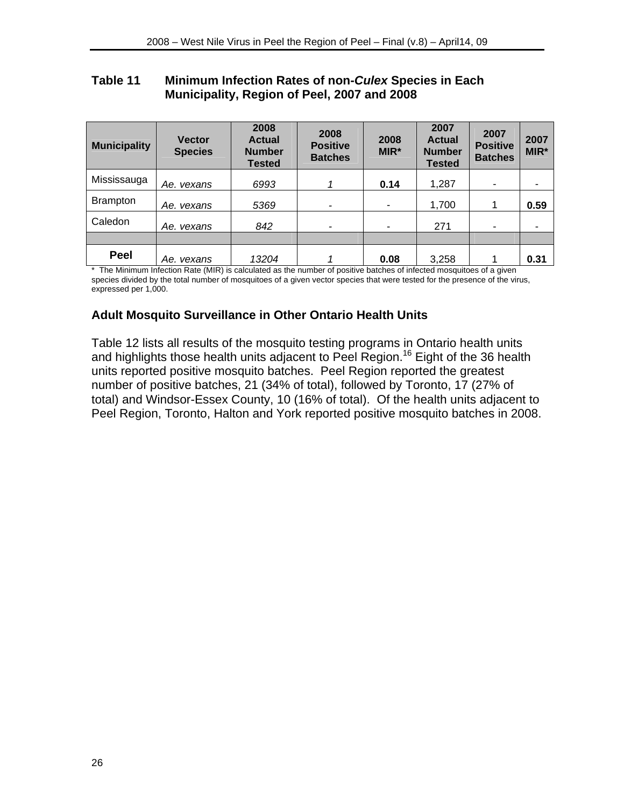#### **Table 11 Minimum Infection Rates of non-***Culex* **Species in Each Municipality, Region of Peel, 2007 and 2008**

| <b>Municipality</b> | <b>Vector</b><br><b>Species</b> | 2008<br><b>Actual</b><br><b>Number</b><br><b>Tested</b> | 2008<br><b>Positive</b><br><b>Batches</b> | 2008<br>MIR* | 2007<br><b>Actual</b><br><b>Number</b><br><b>Tested</b> | 2007<br><b>Positive</b><br><b>Batches</b> | 2007<br>MIR* |
|---------------------|---------------------------------|---------------------------------------------------------|-------------------------------------------|--------------|---------------------------------------------------------|-------------------------------------------|--------------|
| Mississauga         | Ae. vexans                      | 6993                                                    |                                           | 0.14         | 1,287                                                   | ۰                                         |              |
| <b>Brampton</b>     | Ae. vexans                      | 5369                                                    | -                                         | ۰            | 1,700                                                   |                                           | 0.59         |
| Caledon             | Ae. vexans                      | 842                                                     | $\overline{\phantom{0}}$                  | ۰            | 271                                                     | -                                         |              |
|                     |                                 |                                                         |                                           |              |                                                         |                                           |              |
| Peel                | Ae. vexans                      | 13204                                                   |                                           | 0.08         | 3,258                                                   |                                           | 0.31         |

\* The Minimum Infection Rate (MIR) is calculated as the number of positive batches of infected mosquitoes of a given species divided by the total number of mosquitoes of a given vector species that were tested for the presence of the virus, expressed per 1,000.

## **Adult Mosquito Surveillance in Other Ontario Health Units**

Table 12 lists all results of the mosquito testing programs in Ontario health units and highlights those health units adjacent to Peel Region.<sup>16</sup> Eight of the 36 health units reported positive mosquito batches. Peel Region reported the greatest number of positive batches, 21 (34% of total), followed by Toronto, 17 (27% of total) and Windsor-Essex County, 10 (16% of total). Of the health units adjacent to Peel Region, Toronto, Halton and York reported positive mosquito batches in 2008.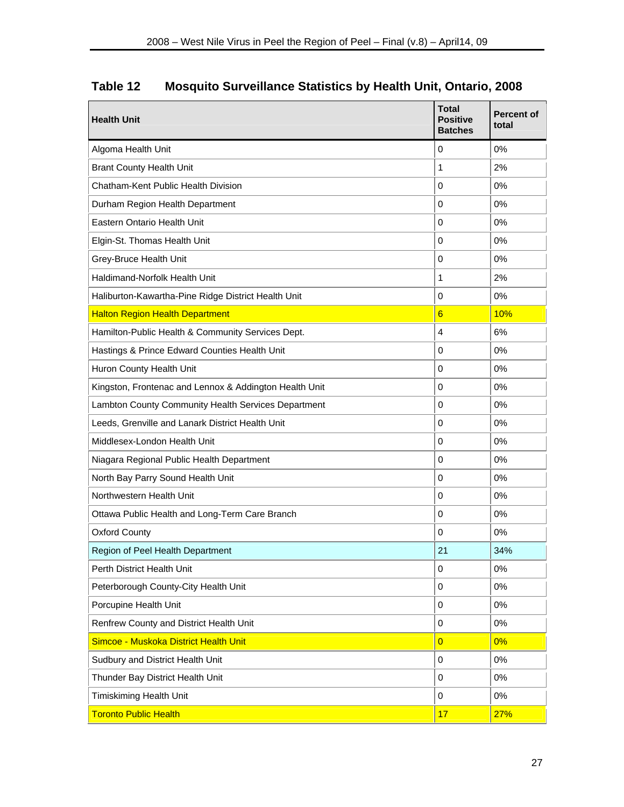| <b>Health Unit</b>                                     | <b>Total</b><br><b>Positive</b><br><b>Batches</b> | <b>Percent of</b><br>total |
|--------------------------------------------------------|---------------------------------------------------|----------------------------|
| Algoma Health Unit                                     | 0                                                 | 0%                         |
| <b>Brant County Health Unit</b>                        | 1                                                 | 2%                         |
| Chatham-Kent Public Health Division                    | $\Omega$                                          | 0%                         |
| Durham Region Health Department                        | $\Omega$                                          | 0%                         |
| <b>Eastern Ontario Health Unit</b>                     | $\Omega$                                          | 0%                         |
| Elgin-St. Thomas Health Unit                           | $\Omega$                                          | 0%                         |
| Grey-Bruce Health Unit                                 | $\Omega$                                          | 0%                         |
| Haldimand-Norfolk Health Unit                          | 1                                                 | 2%                         |
| Haliburton-Kawartha-Pine Ridge District Health Unit    | $\Omega$                                          | 0%                         |
| <b>Halton Region Health Department</b>                 | $6\overline{6}$                                   | 10%                        |
| Hamilton-Public Health & Community Services Dept.      | $\overline{4}$                                    | 6%                         |
| Hastings & Prince Edward Counties Health Unit          | 0                                                 | 0%                         |
| Huron County Health Unit                               | 0                                                 | 0%                         |
| Kingston, Frontenac and Lennox & Addington Health Unit | $\mathbf 0$                                       | 0%                         |
| Lambton County Community Health Services Department    | $\mathbf 0$                                       | 0%                         |
| Leeds, Grenville and Lanark District Health Unit       | $\mathbf 0$                                       | 0%                         |
| Middlesex-London Health Unit                           | $\mathbf 0$                                       | 0%                         |
| Niagara Regional Public Health Department              | $\mathbf 0$                                       | 0%                         |
| North Bay Parry Sound Health Unit                      | $\mathbf 0$                                       | 0%                         |
| Northwestern Health Unit                               | $\mathbf 0$                                       | 0%                         |
| Ottawa Public Health and Long-Term Care Branch         | 0                                                 | 0%                         |
| <b>Oxford County</b>                                   | 0                                                 | 0%                         |
| Region of Peel Health Department                       | 21                                                | 34%                        |
| Perth District Health Unit                             | 0                                                 | 0%                         |
| Peterborough County-City Health Unit                   | $\mathbf 0$                                       | $0\%$                      |
| Porcupine Health Unit                                  | $\mathbf 0$                                       | 0%                         |
| Renfrew County and District Health Unit                | $\pmb{0}$                                         | 0%                         |
| Simcoe - Muskoka District Health Unit                  | $\overline{0}$                                    | 0%                         |
| Sudbury and District Health Unit                       | 0                                                 | $0\%$                      |
| Thunder Bay District Health Unit                       | 0                                                 | 0%                         |
| <b>Timiskiming Health Unit</b>                         | 0                                                 | $0\%$                      |
| <b>Toronto Public Health</b>                           | 17                                                | 27%                        |

# **Table 12 Mosquito Surveillance Statistics by Health Unit, Ontario, 2008**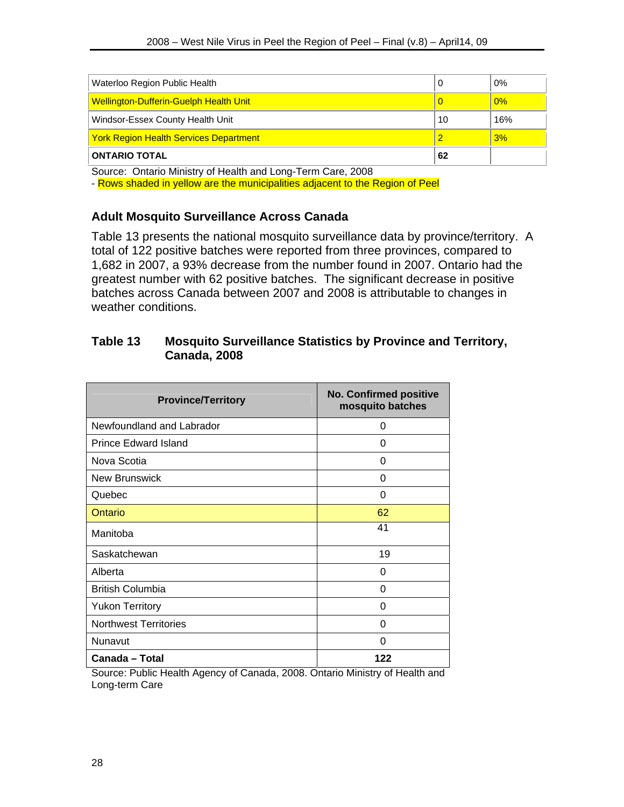| Waterloo Region Public Health                 |    | 0%    |
|-----------------------------------------------|----|-------|
| <b>Wellington-Dufferin-Guelph Health Unit</b> |    | $0\%$ |
| Windsor-Essex County Health Unit              | 10 | 16%   |
| <b>York Region Health Services Department</b> |    | 3%    |
| <b>ONTARIO TOTAL</b>                          | 62 |       |

Source: Ontario Ministry of Health and Long-Term Care, 2008

- Rows shaded in yellow are the municipalities adjacent to the Region of Peel

#### **Adult Mosquito Surveillance Across Canada**

Table 13 presents the national mosquito surveillance data by province/territory. A total of 122 positive batches were reported from three provinces, compared to 1,682 in 2007, a 93% decrease from the number found in 2007. Ontario had the greatest number with 62 positive batches. The significant decrease in positive batches across Canada between 2007 and 2008 is attributable to changes in weather conditions.

| <b>Province/Territory</b>    | <b>No. Confirmed positive</b><br>mosquito batches |
|------------------------------|---------------------------------------------------|
| Newfoundland and Labrador    | 0                                                 |
| <b>Prince Edward Island</b>  | 0                                                 |
| Nova Scotia                  | 0                                                 |
| <b>New Brunswick</b>         | 0                                                 |
| Quebec                       | 0                                                 |
| Ontario                      | 62                                                |
| Manitoba                     | 41                                                |
| Saskatchewan                 | 19                                                |
| Alberta                      | 0                                                 |
| <b>British Columbia</b>      | 0                                                 |
| <b>Yukon Territory</b>       | 0                                                 |
| <b>Northwest Territories</b> | 0                                                 |
| Nunavut                      | 0                                                 |
| Canada - Total               | 122                                               |

#### **Table 13 Mosquito Surveillance Statistics by Province and Territory, Canada, 2008**

Source: Public Health Agency of Canada, 2008. Ontario Ministry of Health and Long-term Care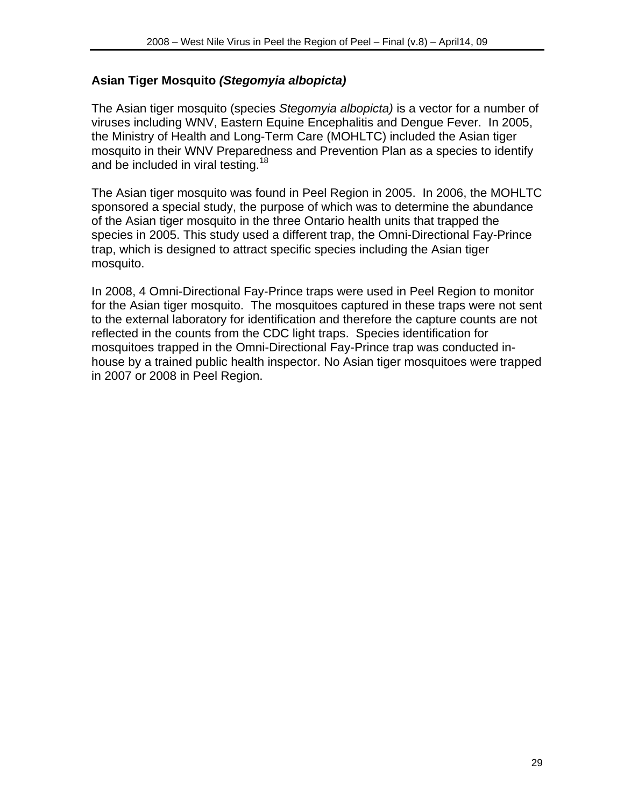#### **Asian Tiger Mosquito** *(Stegomyia albopicta)*

The Asian tiger mosquito (species *Stegomyia albopicta)* is a vector for a number of viruses including WNV, Eastern Equine Encephalitis and Dengue Fever. In 2005, the Ministry of Health and Long-Term Care (MOHLTC) included the Asian tiger mosquito in their WNV Preparedness and Prevention Plan as a species to identify and be included in viral testing.<sup>18</sup>

The Asian tiger mosquito was found in Peel Region in 2005. In 2006, the MOHLTC sponsored a special study, the purpose of which was to determine the abundance of the Asian tiger mosquito in the three Ontario health units that trapped the species in 2005. This study used a different trap, the Omni-Directional Fay-Prince trap, which is designed to attract specific species including the Asian tiger mosquito.

In 2008, 4 Omni-Directional Fay-Prince traps were used in Peel Region to monitor for the Asian tiger mosquito. The mosquitoes captured in these traps were not sent to the external laboratory for identification and therefore the capture counts are not reflected in the counts from the CDC light traps. Species identification for mosquitoes trapped in the Omni-Directional Fay-Prince trap was conducted inhouse by a trained public health inspector. No Asian tiger mosquitoes were trapped in 2007 or 2008 in Peel Region.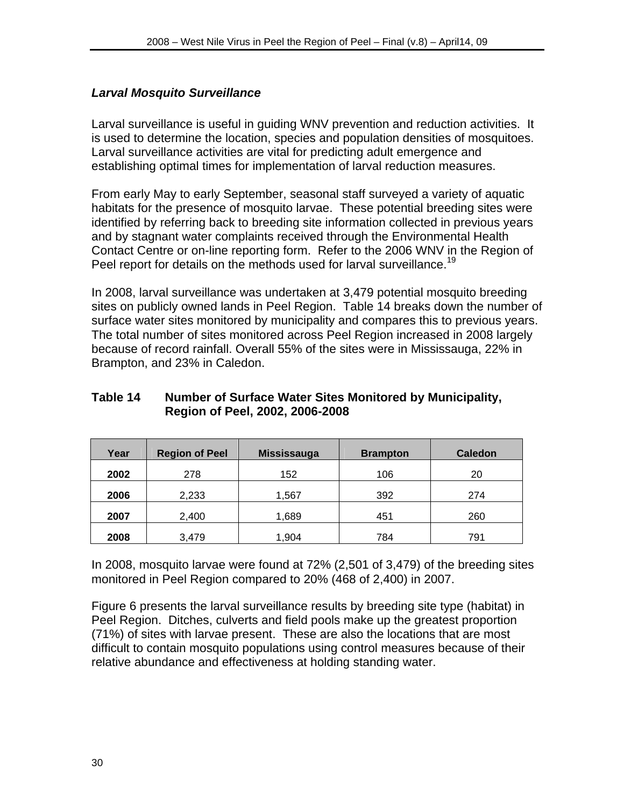#### *Larval Mosquito Surveillance*

Larval surveillance is useful in guiding WNV prevention and reduction activities. It is used to determine the location, species and population densities of mosquitoes. Larval surveillance activities are vital for predicting adult emergence and establishing optimal times for implementation of larval reduction measures.

From early May to early September, seasonal staff surveyed a variety of aquatic habitats for the presence of mosquito larvae. These potential breeding sites were identified by referring back to breeding site information collected in previous years and by stagnant water complaints received through the Environmental Health Contact Centre or on-line reporting form. Refer to the 2006 WNV in the Region of Peel report for details on the methods used for larval surveillance.<sup>19</sup>

In 2008, larval surveillance was undertaken at 3,479 potential mosquito breeding sites on publicly owned lands in Peel Region. Table 14 breaks down the number of surface water sites monitored by municipality and compares this to previous years. The total number of sites monitored across Peel Region increased in 2008 largely because of record rainfall. Overall 55% of the sites were in Mississauga, 22% in Brampton, and 23% in Caledon.

#### **Table 14 Number of Surface Water Sites Monitored by Municipality, Region of Peel, 2002, 2006-2008**

| Year | <b>Region of Peel</b> | <b>Mississauga</b> | <b>Brampton</b> | <b>Caledon</b> |
|------|-----------------------|--------------------|-----------------|----------------|
| 2002 | 278                   | 152                | 106             | 20             |
| 2006 | 2,233                 | 1,567              | 392             | 274            |
| 2007 | 2,400                 | 1,689              | 451             | 260            |
| 2008 | 3,479                 | 1,904              | 784             | 791            |

In 2008, mosquito larvae were found at 72% (2,501 of 3,479) of the breeding sites monitored in Peel Region compared to 20% (468 of 2,400) in 2007.

Figure 6 presents the larval surveillance results by breeding site type (habitat) in Peel Region. Ditches, culverts and field pools make up the greatest proportion (71%) of sites with larvae present. These are also the locations that are most difficult to contain mosquito populations using control measures because of their relative abundance and effectiveness at holding standing water.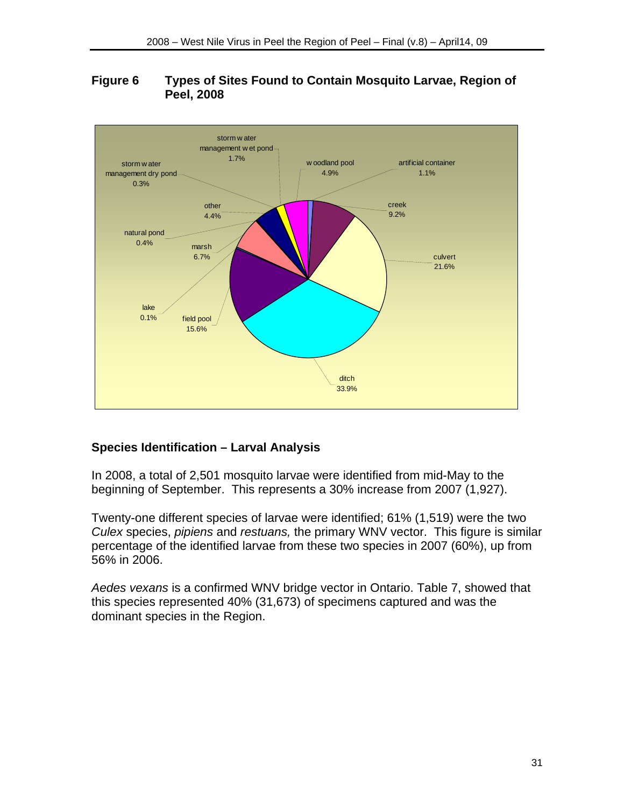#### **Figure 6 Types of Sites Found to Contain Mosquito Larvae, Region of Peel, 2008**



## **Species Identification – Larval Analysis**

In 2008, a total of 2,501 mosquito larvae were identified from mid-May to the beginning of September. This represents a 30% increase from 2007 (1,927).

Twenty-one different species of larvae were identified; 61% (1,519) were the two *Culex* species, *pipiens* and *restuans,* the primary WNV vector. This figure is similar percentage of the identified larvae from these two species in 2007 (60%), up from 56% in 2006.

*Aedes vexans* is a confirmed WNV bridge vector in Ontario. Table 7, showed that this species represented 40% (31,673) of specimens captured and was the dominant species in the Region.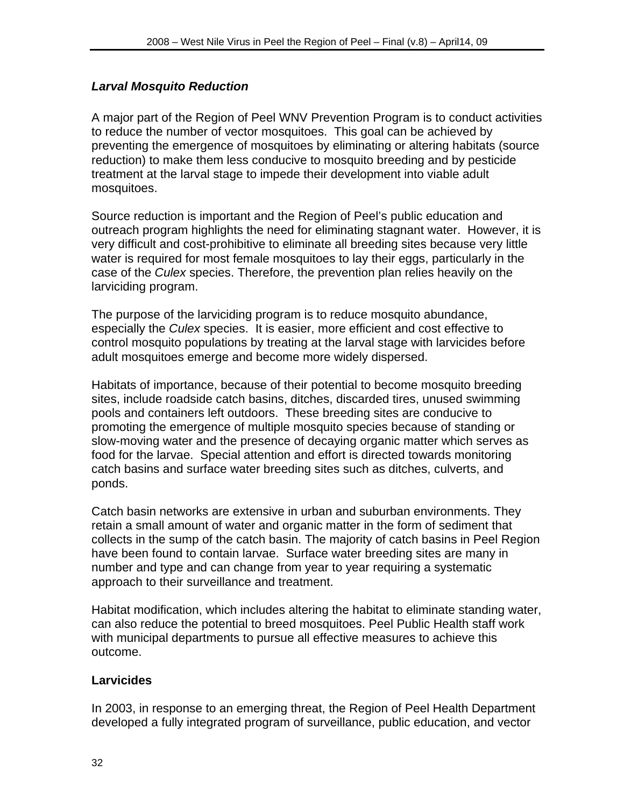## *Larval Mosquito Reduction*

A major part of the Region of Peel WNV Prevention Program is to conduct activities to reduce the number of vector mosquitoes. This goal can be achieved by preventing the emergence of mosquitoes by eliminating or altering habitats (source reduction) to make them less conducive to mosquito breeding and by pesticide treatment at the larval stage to impede their development into viable adult mosquitoes.

Source reduction is important and the Region of Peel's public education and outreach program highlights the need for eliminating stagnant water. However, it is very difficult and cost-prohibitive to eliminate all breeding sites because very little water is required for most female mosquitoes to lay their eggs, particularly in the case of the *Culex* species. Therefore, the prevention plan relies heavily on the larviciding program.

The purpose of the larviciding program is to reduce mosquito abundance, especially the *Culex* species. It is easier, more efficient and cost effective to control mosquito populations by treating at the larval stage with larvicides before adult mosquitoes emerge and become more widely dispersed.

Habitats of importance, because of their potential to become mosquito breeding sites, include roadside catch basins, ditches, discarded tires, unused swimming pools and containers left outdoors. These breeding sites are conducive to promoting the emergence of multiple mosquito species because of standing or slow-moving water and the presence of decaying organic matter which serves as food for the larvae. Special attention and effort is directed towards monitoring catch basins and surface water breeding sites such as ditches, culverts, and ponds.

Catch basin networks are extensive in urban and suburban environments. They retain a small amount of water and organic matter in the form of sediment that collects in the sump of the catch basin. The majority of catch basins in Peel Region have been found to contain larvae. Surface water breeding sites are many in number and type and can change from year to year requiring a systematic approach to their surveillance and treatment.

Habitat modification, which includes altering the habitat to eliminate standing water, can also reduce the potential to breed mosquitoes. Peel Public Health staff work with municipal departments to pursue all effective measures to achieve this outcome.

## **Larvicides**

In 2003, in response to an emerging threat, the Region of Peel Health Department developed a fully integrated program of surveillance, public education, and vector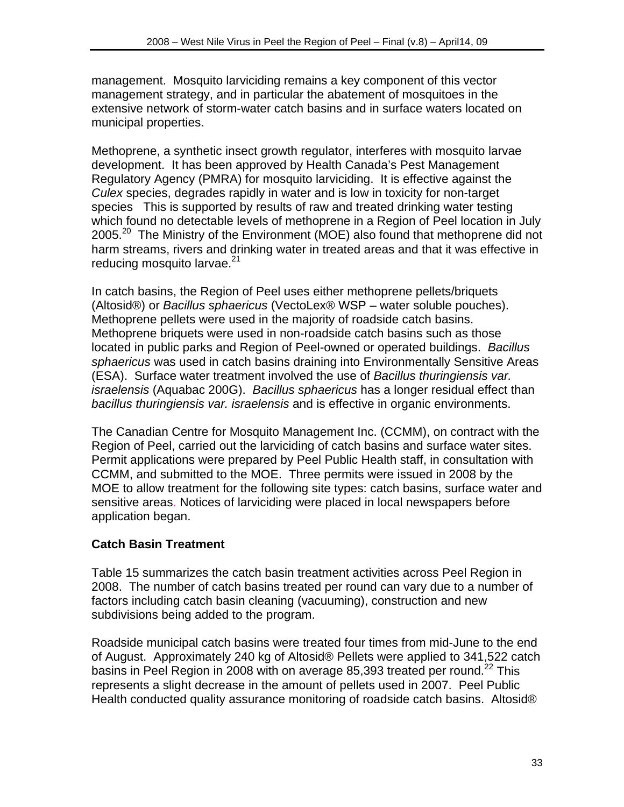management. Mosquito larviciding remains a key component of this vector management strategy, and in particular the abatement of mosquitoes in the extensive network of storm-water catch basins and in surface waters located on municipal properties.

Methoprene, a synthetic insect growth regulator, interferes with mosquito larvae development. It has been approved by Health Canada's Pest Management Regulatory Agency (PMRA) for mosquito larviciding. It is effective against the *Culex* species, degrades rapidly in water and is low in toxicity for non-target species This is supported by results of raw and treated drinking water testing which found no detectable levels of methoprene in a Region of Peel location in July 2005.<sup>20</sup> The Ministry of the Environment (MOE) also found that methoprene did not harm streams, rivers and drinking water in treated areas and that it was effective in reducing mosquito larvae.<sup>21</sup>

In catch basins, the Region of Peel uses either methoprene pellets/briquets (Altosid®) or *Bacillus sphaericus* (VectoLex® WSP – water soluble pouches). Methoprene pellets were used in the majority of roadside catch basins. Methoprene briquets were used in non-roadside catch basins such as those located in public parks and Region of Peel-owned or operated buildings. *Bacillus sphaericus* was used in catch basins draining into Environmentally Sensitive Areas (ESA). Surface water treatment involved the use of *Bacillus thuringiensis var. israelensis* (Aquabac 200G). *Bacillus sphaericus* has a longer residual effect than *bacillus thuringiensis var. israelensis* and is effective in organic environments.

The Canadian Centre for Mosquito Management Inc. (CCMM), on contract with the Region of Peel, carried out the larviciding of catch basins and surface water sites. Permit applications were prepared by Peel Public Health staff, in consultation with CCMM, and submitted to the MOE. Three permits were issued in 2008 by the MOE to allow treatment for the following site types: catch basins, surface water and sensitive areas. Notices of larviciding were placed in local newspapers before application began.

## **Catch Basin Treatment**

Table 15 summarizes the catch basin treatment activities across Peel Region in 2008. The number of catch basins treated per round can vary due to a number of factors including catch basin cleaning (vacuuming), construction and new subdivisions being added to the program.

Roadside municipal catch basins were treated four times from mid-June to the end of August. Approximately 240 kg of Altosid® Pellets were applied to 341,522 catch basins in Peel Region in 2008 with on average 85,393 treated per round.<sup>22</sup> This represents a slight decrease in the amount of pellets used in 2007. Peel Public Health conducted quality assurance monitoring of roadside catch basins. Altosid®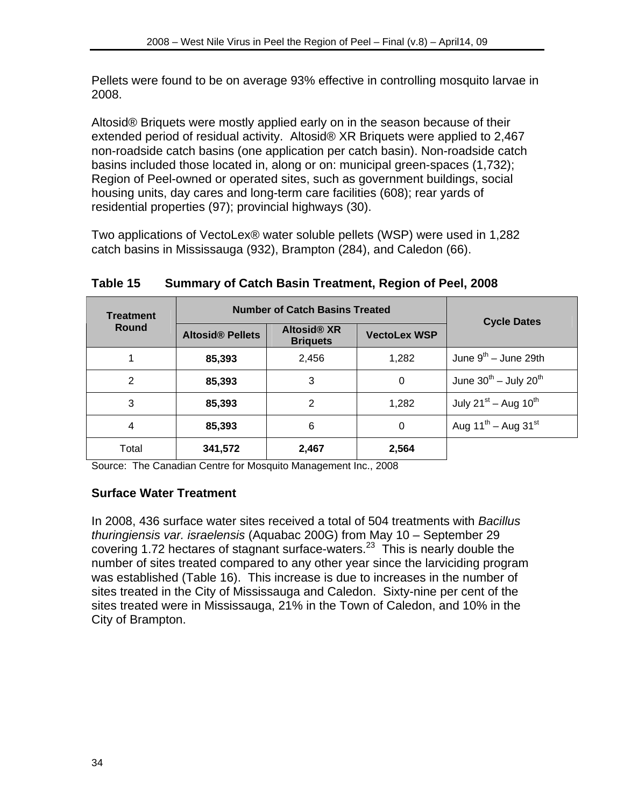Pellets were found to be on average 93% effective in controlling mosquito larvae in 2008.

Altosid® Briquets were mostly applied early on in the season because of their extended period of residual activity. Altosid® XR Briquets were applied to 2,467 non-roadside catch basins (one application per catch basin). Non-roadside catch basins included those located in, along or on: municipal green-spaces (1,732); Region of Peel-owned or operated sites, such as government buildings, social housing units, day cares and long-term care facilities (608); rear yards of residential properties (97); provincial highways (30).

Two applications of VectoLex® water soluble pellets (WSP) were used in 1,282 catch basins in Mississauga (932), Brampton (284), and Caledon (66).

| <b>Treatment</b> | <b>Number of Catch Basins Treated</b> | <b>Cycle Dates</b>                    |                     |                                 |
|------------------|---------------------------------------|---------------------------------------|---------------------|---------------------------------|
| Round            | <b>Altosid® Pellets</b>               | <b>Altosid® XR</b><br><b>Briquets</b> | <b>VectoLex WSP</b> |                                 |
|                  | 85,393                                | 2,456                                 | 1,282               | June $9^{th}$ – June 29th       |
| 2                | 85,393                                | 3                                     | $\Omega$            | June $30^{th}$ – July $20^{th}$ |
| 3                | 85,393                                | 2                                     | 1,282               | July $21^{st}$ – Aug $10^{th}$  |
| 4                | 85,393                                | 6                                     | $\Omega$            | Aug $11^{th}$ – Aug $31^{st}$   |
| Total            | 341,572                               | 2,467                                 | 2,564               |                                 |

**Table 15 Summary of Catch Basin Treatment, Region of Peel, 2008** 

Source: The Canadian Centre for Mosquito Management Inc., 2008

## **Surface Water Treatment**

In 2008, 436 surface water sites received a total of 504 treatments with *Bacillus thuringiensis var. israelensis* (Aquabac 200G) from May 10 – September 29 covering 1.72 hectares of stagnant surface-waters.<sup>23</sup> This is nearly double the number of sites treated compared to any other year since the larviciding program was established (Table 16). This increase is due to increases in the number of sites treated in the City of Mississauga and Caledon. Sixty-nine per cent of the sites treated were in Mississauga, 21% in the Town of Caledon, and 10% in the City of Brampton.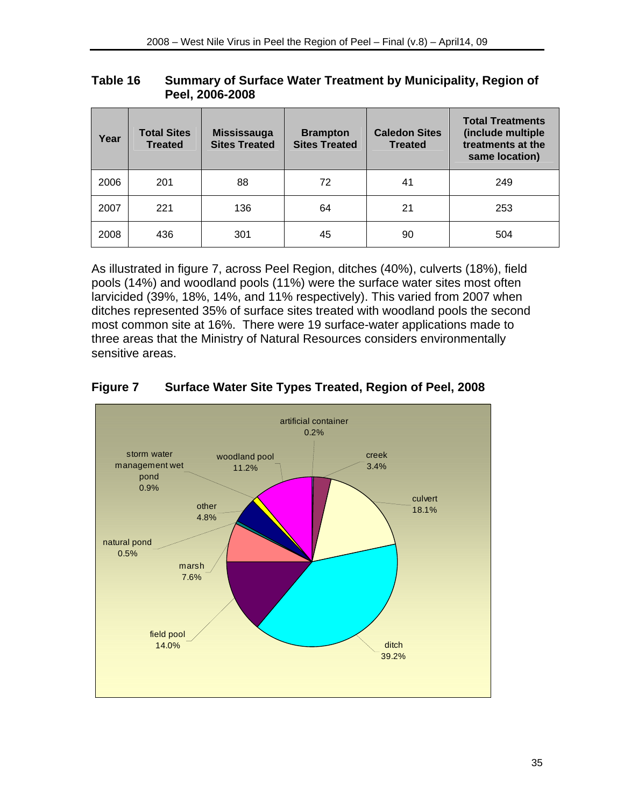| Table 16 | Summary of Surface Water Treatment by Municipality, Region of |
|----------|---------------------------------------------------------------|
|          | Peel, 2006-2008                                               |

| Year | <b>Total Sites</b><br><b>Treated</b> | <b>Mississauga</b><br><b>Sites Treated</b> | <b>Brampton</b><br><b>Sites Treated</b> | <b>Caledon Sites</b><br><b>Treated</b> | <b>Total Treatments</b><br>(include multiple<br>treatments at the<br>same location) |
|------|--------------------------------------|--------------------------------------------|-----------------------------------------|----------------------------------------|-------------------------------------------------------------------------------------|
| 2006 | 201                                  | 88                                         | 72                                      | 41                                     | 249                                                                                 |
| 2007 | 221                                  | 136                                        | 64                                      | 21                                     | 253                                                                                 |
| 2008 | 436                                  | 301                                        | 45                                      | 90                                     | 504                                                                                 |

As illustrated in figure 7, across Peel Region, ditches (40%), culverts (18%), field pools (14%) and woodland pools (11%) were the surface water sites most often larvicided (39%, 18%, 14%, and 11% respectively). This varied from 2007 when ditches represented 35% of surface sites treated with woodland pools the second most common site at 16%. There were 19 surface-water applications made to three areas that the Ministry of Natural Resources considers environmentally sensitive areas.



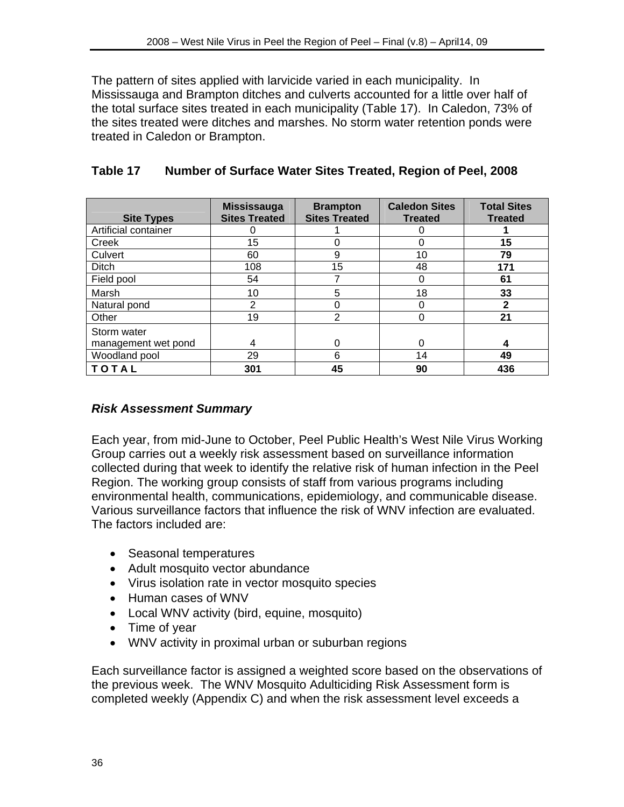The pattern of sites applied with larvicide varied in each municipality. In Mississauga and Brampton ditches and culverts accounted for a little over half of the total surface sites treated in each municipality (Table 17). In Caledon, 73% of the sites treated were ditches and marshes. No storm water retention ponds were treated in Caledon or Brampton.

| <b>Site Types</b>    | <b>Mississauga</b><br><b>Sites Treated</b> | <b>Brampton</b><br><b>Sites Treated</b> | <b>Caledon Sites</b><br><b>Treated</b> | <b>Total Sites</b><br><b>Treated</b> |
|----------------------|--------------------------------------------|-----------------------------------------|----------------------------------------|--------------------------------------|
| Artificial container |                                            |                                         |                                        |                                      |
| Creek                | 15                                         |                                         | 0                                      | 15                                   |
| Culvert              | 60                                         | 9                                       | 10                                     | 79                                   |
| Ditch                | 108                                        | 15                                      | 48                                     | 171                                  |
| Field pool           | 54                                         |                                         | 0                                      | 61                                   |
| Marsh                | 10                                         | 5                                       | 18                                     | 33                                   |
| Natural pond         | 2                                          | 0                                       | 0                                      | $\mathbf{2}$                         |
| Other                | 19                                         | $\overline{2}$                          | 0                                      | 21                                   |
| Storm water          |                                            |                                         |                                        |                                      |
| management wet pond  | 4                                          | 0                                       | 0                                      | 4                                    |
| Woodland pool        | 29                                         | 6                                       | 14                                     | 49                                   |
| TOTAL                | 301                                        | 45                                      | 90                                     | 436                                  |

## **Table 17 Number of Surface Water Sites Treated, Region of Peel, 2008**

## *Risk Assessment Summary*

Each year, from mid-June to October, Peel Public Health's West Nile Virus Working Group carries out a weekly risk assessment based on surveillance information collected during that week to identify the relative risk of human infection in the Peel Region. The working group consists of staff from various programs including environmental health, communications, epidemiology, and communicable disease. Various surveillance factors that influence the risk of WNV infection are evaluated. The factors included are:

- Seasonal temperatures
- Adult mosquito vector abundance
- Virus isolation rate in vector mosquito species
- Human cases of WNV
- Local WNV activity (bird, equine, mosquito)
- Time of year
- WNV activity in proximal urban or suburban regions

Each surveillance factor is assigned a weighted score based on the observations of the previous week. The WNV Mosquito Adulticiding Risk Assessment form is completed weekly (Appendix C) and when the risk assessment level exceeds a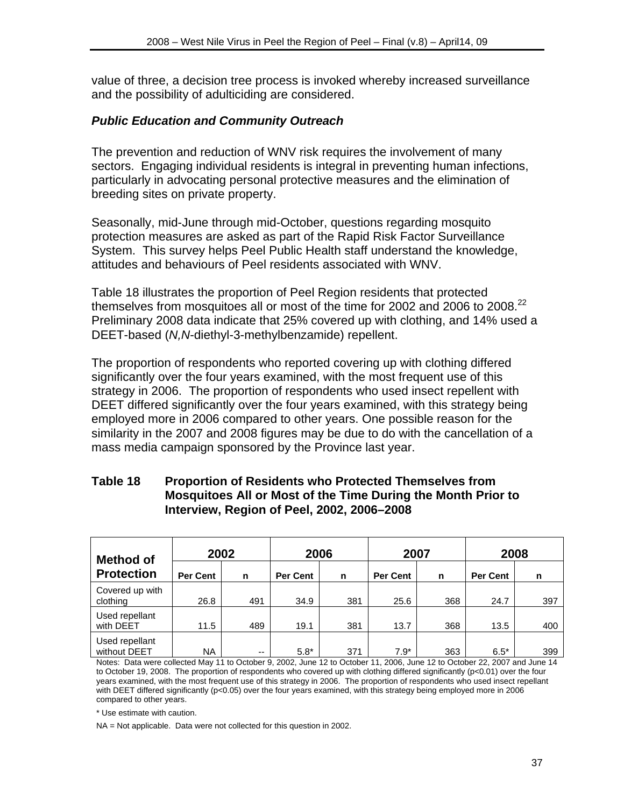value of three, a decision tree process is invoked whereby increased surveillance and the possibility of adulticiding are considered.

#### *Public Education and Community Outreach*

The prevention and reduction of WNV risk requires the involvement of many sectors. Engaging individual residents is integral in preventing human infections, particularly in advocating personal protective measures and the elimination of breeding sites on private property.

Seasonally, mid-June through mid-October, questions regarding mosquito protection measures are asked as part of the Rapid Risk Factor Surveillance System. This survey helps Peel Public Health staff understand the knowledge, attitudes and behaviours of Peel residents associated with WNV.

Table 18 illustrates the proportion of Peel Region residents that protected themselves from mosquitoes all or most of the time for 2002 and 2006 to 2008.<sup>22</sup> Preliminary 2008 data indicate that 25% covered up with clothing, and 14% used a DEET-based (*N,N*-diethyl-3-methylbenzamide) repellent.

The proportion of respondents who reported covering up with clothing differed significantly over the four years examined, with the most frequent use of this strategy in 2006. The proportion of respondents who used insect repellent with DEET differed significantly over the four years examined, with this strategy being employed more in 2006 compared to other years. One possible reason for the similarity in the 2007 and 2008 figures may be due to do with the cancellation of a mass media campaign sponsored by the Province last year.

#### **Table 18 Proportion of Residents who Protected Themselves from Mosquitoes All or Most of the Time During the Month Prior to Interview, Region of Peel, 2002, 2006–2008**

| <b>Method of</b><br><b>Protection</b> | 2002            |     | 2006            |     | 2007            |     | 2008            |     |
|---------------------------------------|-----------------|-----|-----------------|-----|-----------------|-----|-----------------|-----|
|                                       | <b>Per Cent</b> | n   | <b>Per Cent</b> | n   | <b>Per Cent</b> | n   | <b>Per Cent</b> | n   |
| Covered up with<br>clothing           | 26.8            | 491 | 34.9            | 381 | 25.6            | 368 | 24.7            | 397 |
| Used repellant<br>with DEET           | 11.5            | 489 | 19.1            | 381 | 13.7            | 368 | 13.5            | 400 |
| Used repellant<br>without DEET        | NA              | $-$ | $5.8*$          | 371 | $7.9*$          | 363 | $6.5*$          | 399 |

Notes: Data were collected May 11 to October 9, 2002, June 12 to October 11, 2006, June 12 to October 22, 2007 and June 14 to October 19, 2008. The proportion of respondents who covered up with clothing differed significantly (p<0.01) over the four years examined, with the most frequent use of this strategy in 2006. The proportion of respondents who used insect repellant with DEET differed significantly (p<0.05) over the four years examined, with this strategy being employed more in 2006 compared to other years.

\* Use estimate with caution.

NA = Not applicable. Data were not collected for this question in 2002.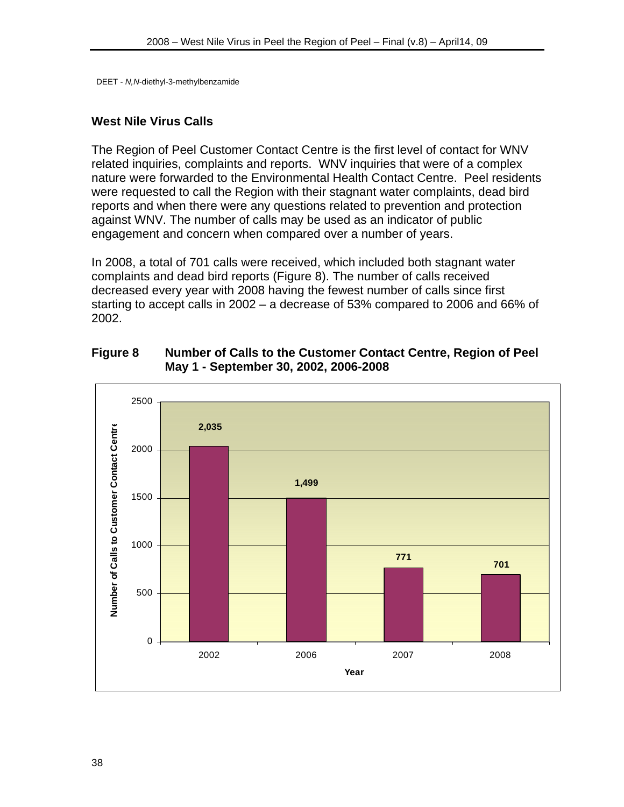DEET - *N,N*-diethyl-3-methylbenzamide

#### **West Nile Virus Calls**

The Region of Peel Customer Contact Centre is the first level of contact for WNV related inquiries, complaints and reports. WNV inquiries that were of a complex nature were forwarded to the Environmental Health Contact Centre. Peel residents were requested to call the Region with their stagnant water complaints, dead bird reports and when there were any questions related to prevention and protection against WNV. The number of calls may be used as an indicator of public engagement and concern when compared over a number of years.

In 2008, a total of 701 calls were received, which included both stagnant water complaints and dead bird reports (Figure 8). The number of calls received decreased every year with 2008 having the fewest number of calls since first starting to accept calls in 2002 – a decrease of 53% compared to 2006 and 66% of 2002.

**Figure 8 Number of Calls to the Customer Contact Centre, Region of Peel May 1 - September 30, 2002, 2006-2008** 

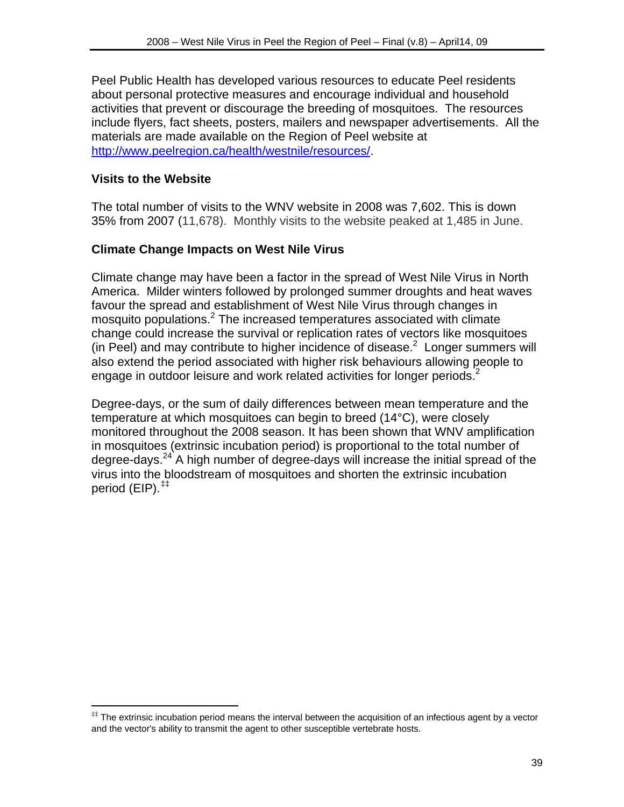Peel Public Health has developed various resources to educate Peel residents about personal protective measures and encourage individual and household activities that prevent or discourage the breeding of mosquitoes. The resources include flyers, fact sheets, posters, mailers and newspaper advertisements. All the materials are made available on the Region of Peel website at http://www.peelregion.ca/health/westnile/resources/.

## **Visits to the Website**

 $\overline{a}$ 

The total number of visits to the WNV website in 2008 was 7,602. This is down 35% from 2007 (11,678). Monthly visits to the website peaked at 1,485 in June.

## **Climate Change Impacts on West Nile Virus**

Climate change may have been a factor in the spread of West Nile Virus in North America. Milder winters followed by prolonged summer droughts and heat waves favour the spread and establishment of West Nile Virus through changes in mosquito populations.<sup>2</sup> The increased temperatures associated with climate change could increase the survival or replication rates of vectors like mosquitoes (in Peel) and may contribute to higher incidence of disease. $2$  Longer summers will also extend the period associated with higher risk behaviours allowing people to engage in outdoor leisure and work related activities for longer periods.<sup>2</sup>

Degree-days, or the sum of daily differences between mean temperature and the temperature at which mosquitoes can begin to breed (14°C), were closely monitored throughout the 2008 season. It has been shown that WNV amplification in mosquitoes (extrinsic incubation period) is proportional to the total number of degree-days. $24$ <sup>24</sup> A high number of degree-days will increase the initial spread of the virus into the bloodstream of mosquitoes and shorten the extrinsic incubation period (EIP).‡‡

<sup>‡‡</sup> The extrinsic incubation period means the interval between the acquisition of an infectious agent by a vector and the vector's ability to transmit the agent to other susceptible vertebrate hosts.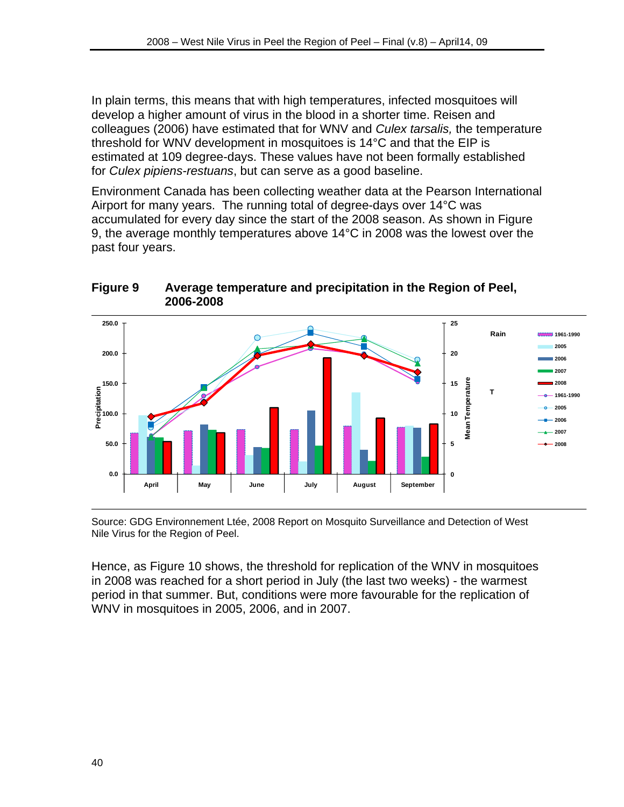In plain terms, this means that with high temperatures, infected mosquitoes will develop a higher amount of virus in the blood in a shorter time. Reisen and colleagues (2006) have estimated that for WNV and *Culex tarsalis,* the temperature threshold for WNV development in mosquitoes is 14°C and that the EIP is estimated at 109 degree-days. These values have not been formally established for *Culex pipiens-restuans*, but can serve as a good baseline.

Environment Canada has been collecting weather data at the Pearson International Airport for many years. The running total of degree-days over 14°C was accumulated for every day since the start of the 2008 season. As shown in Figure 9, the average monthly temperatures above 14°C in 2008 was the lowest over the past four years.



## **Figure 9 Average temperature and precipitation in the Region of Peel, 2006-2008**

Source: GDG Environnement Ltée, 2008 Report on Mosquito Surveillance and Detection of West Nile Virus for the Region of Peel.

Hence, as Figure 10 shows, the threshold for replication of the WNV in mosquitoes in 2008 was reached for a short period in July (the last two weeks) - the warmest period in that summer. But, conditions were more favourable for the replication of WNV in mosquitoes in 2005, 2006, and in 2007.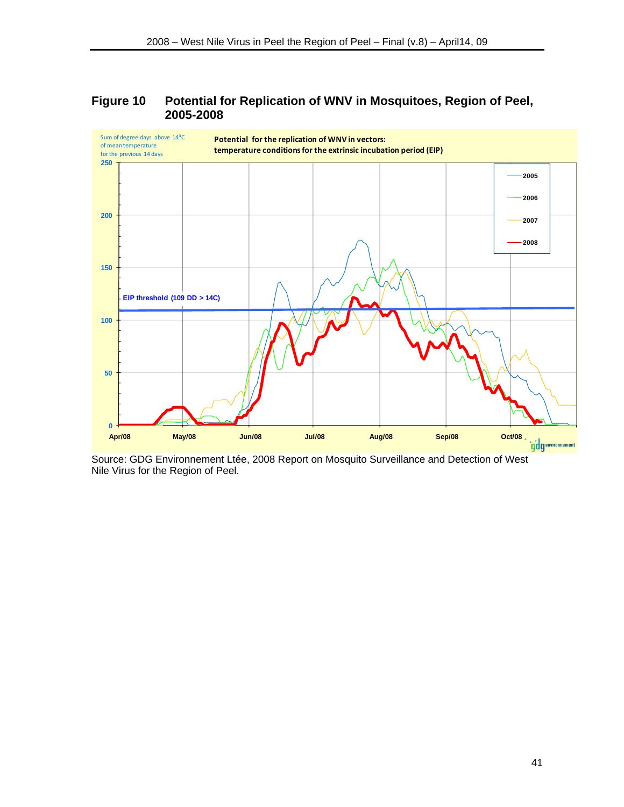#### **Figure 10 Potential for Replication of WNV in Mosquitoes, Region of Peel, 2005-2008**



Source: GDG Environnement Ltée, 2008 Report on Mosquito Surveillance and Detection of West Nile Virus for the Region of Peel.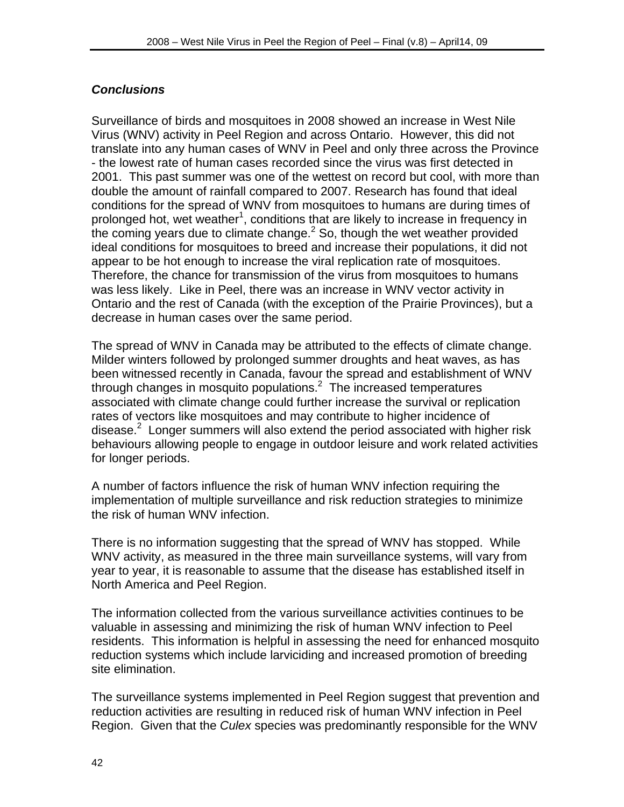## *Conclusions*

Surveillance of birds and mosquitoes in 2008 showed an increase in West Nile Virus (WNV) activity in Peel Region and across Ontario. However, this did not translate into any human cases of WNV in Peel and only three across the Province - the lowest rate of human cases recorded since the virus was first detected in 2001. This past summer was one of the wettest on record but cool, with more than double the amount of rainfall compared to 2007. Research has found that ideal conditions for the spread of WNV from mosquitoes to humans are during times of prolonged hot, wet weather<sup>1</sup>, conditions that are likely to increase in frequency in the coming years due to climate change. $2$  So, though the wet weather provided ideal conditions for mosquitoes to breed and increase their populations, it did not appear to be hot enough to increase the viral replication rate of mosquitoes. Therefore, the chance for transmission of the virus from mosquitoes to humans was less likely. Like in Peel, there was an increase in WNV vector activity in Ontario and the rest of Canada (with the exception of the Prairie Provinces), but a decrease in human cases over the same period.

The spread of WNV in Canada may be attributed to the effects of climate change. Milder winters followed by prolonged summer droughts and heat waves, as has been witnessed recently in Canada, favour the spread and establishment of WNV through changes in mosquito populations. $2$  The increased temperatures associated with climate change could further increase the survival or replication rates of vectors like mosquitoes and may contribute to higher incidence of disease.<sup>2</sup> Longer summers will also extend the period associated with higher risk behaviours allowing people to engage in outdoor leisure and work related activities for longer periods.

A number of factors influence the risk of human WNV infection requiring the implementation of multiple surveillance and risk reduction strategies to minimize the risk of human WNV infection.

There is no information suggesting that the spread of WNV has stopped. While WNV activity, as measured in the three main surveillance systems, will vary from year to year, it is reasonable to assume that the disease has established itself in North America and Peel Region.

The information collected from the various surveillance activities continues to be valuable in assessing and minimizing the risk of human WNV infection to Peel residents. This information is helpful in assessing the need for enhanced mosquito reduction systems which include larviciding and increased promotion of breeding site elimination.

The surveillance systems implemented in Peel Region suggest that prevention and reduction activities are resulting in reduced risk of human WNV infection in Peel Region. Given that the *Culex* species was predominantly responsible for the WNV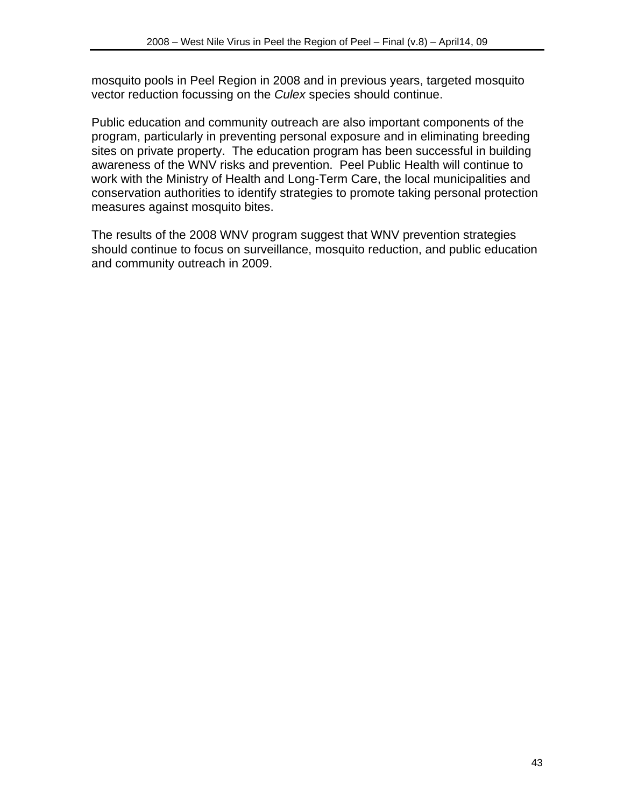mosquito pools in Peel Region in 2008 and in previous years, targeted mosquito vector reduction focussing on the *Culex* species should continue.

Public education and community outreach are also important components of the program, particularly in preventing personal exposure and in eliminating breeding sites on private property. The education program has been successful in building awareness of the WNV risks and prevention. Peel Public Health will continue to work with the Ministry of Health and Long-Term Care, the local municipalities and conservation authorities to identify strategies to promote taking personal protection measures against mosquito bites.

The results of the 2008 WNV program suggest that WNV prevention strategies should continue to focus on surveillance, mosquito reduction, and public education and community outreach in 2009.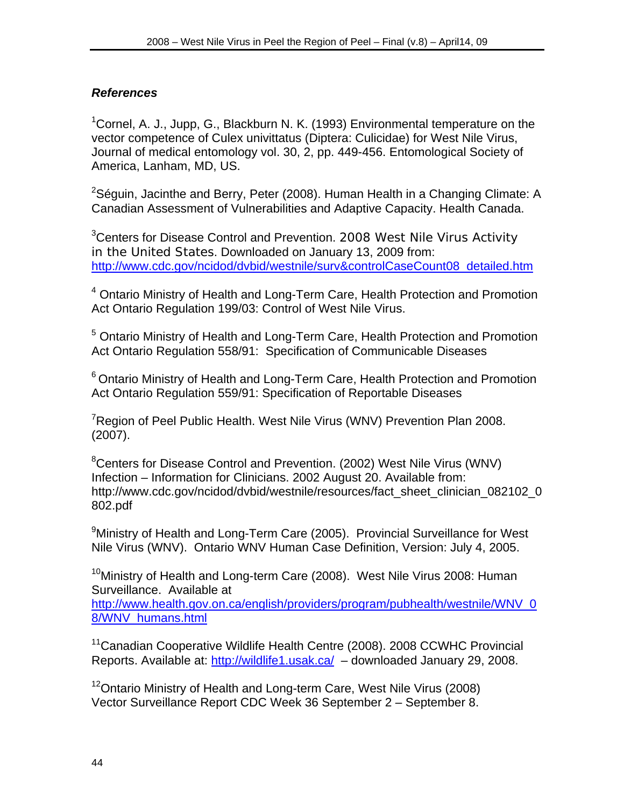## *References*

<sup>1</sup>Cornel, A. J., Jupp, G., Blackburn N. K. (1993) Environmental temperature on the vector competence of Culex univittatus (Diptera: Culicidae) for West Nile Virus, Journal of medical entomology vol. 30, 2, pp. 449-456. Entomological Society of America, Lanham, MD, US.

<sup>2</sup>Séguin, Jacinthe and Berry, Peter (2008). Human Health in a Changing Climate: A Canadian Assessment of Vulnerabilities and Adaptive Capacity. Health Canada.

<sup>3</sup> Centers for Disease Control and Prevention. 2008 West Nile Virus Activity in the United States. Downloaded on January 13, 2009 from: http://www.cdc.gov/ncidod/dvbid/westnile/surv&controlCaseCount08\_detailed.htm

<sup>4</sup> Ontario Ministry of Health and Long-Term Care, Health Protection and Promotion Act Ontario Regulation 199/03: Control of West Nile Virus.

<sup>5</sup> Ontario Ministry of Health and Long-Term Care, Health Protection and Promotion Act Ontario Regulation 558/91: Specification of Communicable Diseases

 $6$  Ontario Ministry of Health and Long-Term Care, Health Protection and Promotion Act Ontario Regulation 559/91: Specification of Reportable Diseases

<sup>7</sup>Region of Peel Public Health. West Nile Virus (WNV) Prevention Plan 2008. (2007).

<sup>8</sup> Centers for Disease Control and Prevention. (2002) West Nile Virus (WNV) Infection – Information for Clinicians. 2002 August 20. Available from: http://www.cdc.gov/ncidod/dvbid/westnile/resources/fact\_sheet\_clinician\_082102\_0 802.pdf

<sup>9</sup>Ministry of Health and Long-Term Care (2005). Provincial Surveillance for West Nile Virus (WNV). Ontario WNV Human Case Definition, Version: July 4, 2005.

<sup>10</sup>Ministry of Health and Long-term Care (2008). West Nile Virus 2008: Human Surveillance. Available at

http://www.health.gov.on.ca/english/providers/program/pubhealth/westnile/WNV\_0 8/WNV\_humans.html

<sup>11</sup>Canadian Cooperative Wildlife Health Centre (2008). 2008 CCWHC Provincial Reports. Available at: http://wildlife1.usak.ca/ – downloaded January 29, 2008.

<sup>12</sup>Ontario Ministry of Health and Long-term Care, West Nile Virus (2008) Vector Surveillance Report CDC Week 36 September 2 – September 8.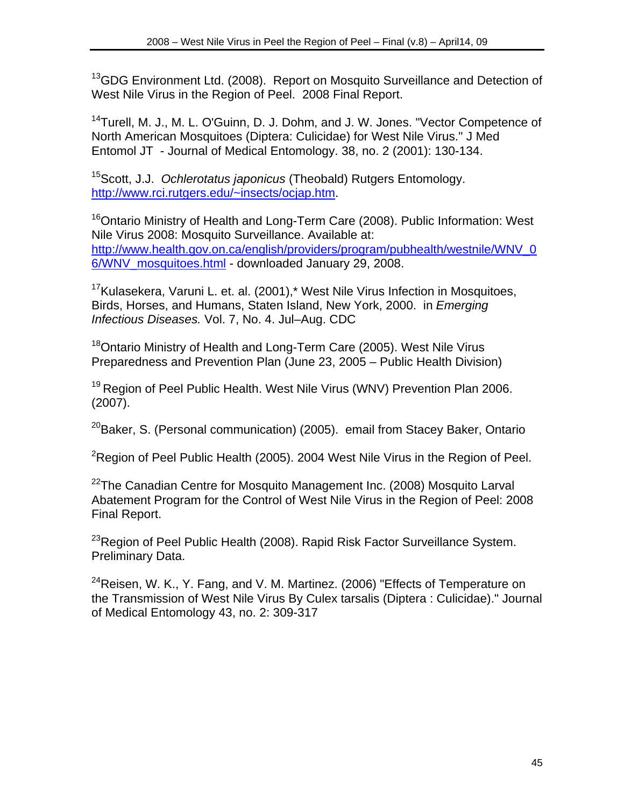<sup>13</sup>GDG Environment Ltd. (2008). Report on Mosquito Surveillance and Detection of West Nile Virus in the Region of Peel. 2008 Final Report.

<sup>14</sup>Turell, M. J., M. L. O'Guinn, D. J. Dohm, and J. W. Jones. "Vector Competence of North American Mosquitoes (Diptera: Culicidae) for West Nile Virus." J Med Entomol JT - Journal of Medical Entomology. 38, no. 2 (2001): 130-134.

15Scott, J.J. *Ochlerotatus japonicus* (Theobald) Rutgers Entomology. http://www.rci.rutgers.edu/~insects/ocjap.htm.

<sup>16</sup>Ontario Ministry of Health and Long-Term Care (2008). Public Information: West Nile Virus 2008: Mosquito Surveillance. Available at: http://www.health.gov.on.ca/english/providers/program/pubhealth/westnile/WNV\_0 6/WNV\_mosquitoes.html - downloaded January 29, 2008.

<sup>17</sup>Kulasekera, Varuni L. et. al. (2001),\* West Nile Virus Infection in Mosquitoes, Birds, Horses, and Humans, Staten Island, New York, 2000. in *Emerging Infectious Diseases.* Vol. 7, No. 4. Jul–Aug. CDC

<sup>18</sup>Ontario Ministry of Health and Long-Term Care (2005). West Nile Virus Preparedness and Prevention Plan (June 23, 2005 – Public Health Division)

<sup>19</sup> Region of Peel Public Health. West Nile Virus (WNV) Prevention Plan 2006. (2007).

 $20B$ aker, S. (Personal communication) (2005). email from Stacey Baker, Ontario

<sup>2</sup>Region of Peel Public Health (2005). 2004 West Nile Virus in the Region of Peel.

 $^{22}$ The Canadian Centre for Mosquito Management Inc. (2008) Mosquito Larval Abatement Program for the Control of West Nile Virus in the Region of Peel: 2008 Final Report.

<sup>23</sup>Region of Peel Public Health (2008). Rapid Risk Factor Surveillance System. Preliminary Data.

 $^{24}$ Reisen, W. K., Y. Fang, and V. M. Martinez. (2006) "Effects of Temperature on the Transmission of West Nile Virus By Culex tarsalis (Diptera : Culicidae)." Journal of Medical Entomology 43, no. 2: 309-317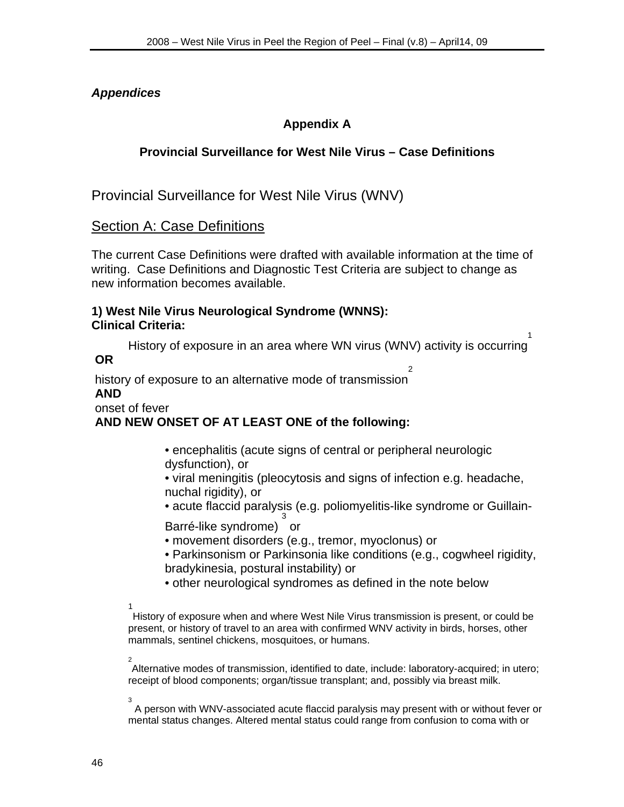## *Appendices*

## **Appendix A**

## **Provincial Surveillance for West Nile Virus – Case Definitions**

Provincial Surveillance for West Nile Virus (WNV)

## Section A: Case Definitions

The current Case Definitions were drafted with available information at the time of writing. Case Definitions and Diagnostic Test Criteria are subject to change as new information becomes available.

#### **1) West Nile Virus Neurological Syndrome (WNNS): Clinical Criteria:**

History of exposure in an area where WN virus (WNV) activity is occurring 1

 **OR** 

 history of exposure to an alternative mode of transmission  $\mathfrak{p}$ 

## **AND**

onset of fever

## **AND NEW ONSET OF AT LEAST ONE of the following:**

- encephalitis (acute signs of central or peripheral neurologic dysfunction), or
- viral meningitis (pleocytosis and signs of infection e.g. headache, nuchal rigidity), or
- acute flaccid paralysis (e.g. poliomyelitis-like syndrome or Guillain-3

Barré-like syndrome) or

- movement disorders (e.g., tremor, myoclonus) or
- Parkinsonism or Parkinsonia like conditions (e.g., cogwheel rigidity, bradykinesia, postural instability) or
- other neurological syndromes as defined in the note below
- 1

History of exposure when and where West Nile Virus transmission is present, or could be present, or history of travel to an area with confirmed WNV activity in birds, horses, other mammals, sentinel chickens, mosquitoes, or humans.

 2 Alternative modes of transmission, identified to date, include: laboratory-acquired; in utero; receipt of blood components; organ/tissue transplant; and, possibly via breast milk.

 3 A person with WNV-associated acute flaccid paralysis may present with or without fever or mental status changes. Altered mental status could range from confusion to coma with or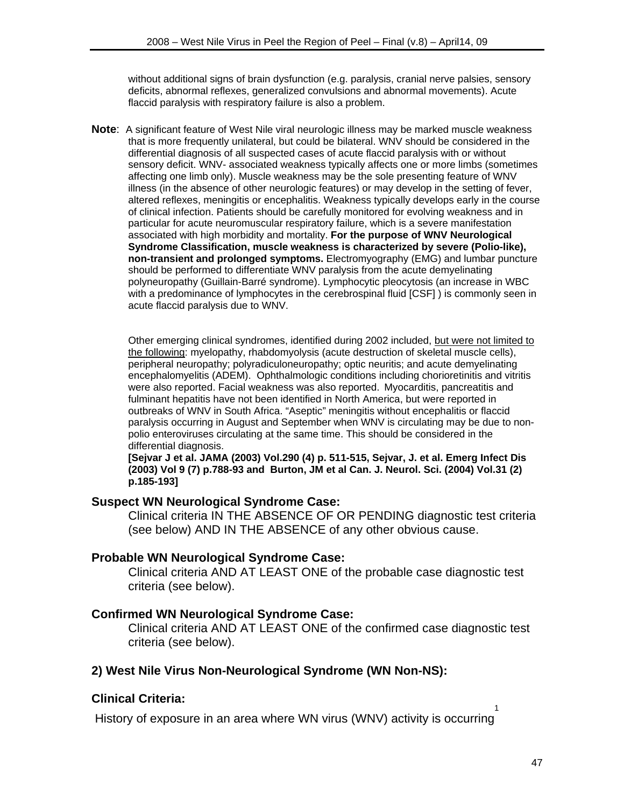without additional signs of brain dysfunction (e.g. paralysis, cranial nerve palsies, sensory deficits, abnormal reflexes, generalized convulsions and abnormal movements). Acute flaccid paralysis with respiratory failure is also a problem.

**Note**: A significant feature of West Nile viral neurologic illness may be marked muscle weakness that is more frequently unilateral, but could be bilateral. WNV should be considered in the differential diagnosis of all suspected cases of acute flaccid paralysis with or without sensory deficit. WNV- associated weakness typically affects one or more limbs (sometimes affecting one limb only). Muscle weakness may be the sole presenting feature of WNV illness (in the absence of other neurologic features) or may develop in the setting of fever, altered reflexes, meningitis or encephalitis. Weakness typically develops early in the course of clinical infection. Patients should be carefully monitored for evolving weakness and in particular for acute neuromuscular respiratory failure, which is a severe manifestation associated with high morbidity and mortality. **For the purpose of WNV Neurological Syndrome Classification, muscle weakness is characterized by severe (Polio-like), non-transient and prolonged symptoms.** Electromyography (EMG) and lumbar puncture should be performed to differentiate WNV paralysis from the acute demyelinating polyneuropathy (Guillain-Barré syndrome). Lymphocytic pleocytosis (an increase in WBC with a predominance of lymphocytes in the cerebrospinal fluid [CSF] ) is commonly seen in acute flaccid paralysis due to WNV.

Other emerging clinical syndromes, identified during 2002 included, but were not limited to the following: myelopathy, rhabdomyolysis (acute destruction of skeletal muscle cells), peripheral neuropathy; polyradiculoneuropathy; optic neuritis; and acute demyelinating encephalomyelitis (ADEM). Ophthalmologic conditions including chorioretinitis and vitritis were also reported. Facial weakness was also reported. Myocarditis, pancreatitis and fulminant hepatitis have not been identified in North America, but were reported in outbreaks of WNV in South Africa. "Aseptic" meningitis without encephalitis or flaccid paralysis occurring in August and September when WNV is circulating may be due to nonpolio enteroviruses circulating at the same time. This should be considered in the differential diagnosis.

**[Sejvar J et al. JAMA (2003) Vol.290 (4) p. 511-515, Sejvar, J. et al. Emerg Infect Dis (2003) Vol 9 (7) p.788-93 and Burton, JM et al Can. J. Neurol. Sci. (2004) Vol.31 (2) p.185-193]** 

#### **Suspect WN Neurological Syndrome Case:**

Clinical criteria IN THE ABSENCE OF OR PENDING diagnostic test criteria (see below) AND IN THE ABSENCE of any other obvious cause.

#### **Probable WN Neurological Syndrome Case:**

Clinical criteria AND AT LEAST ONE of the probable case diagnostic test criteria (see below).

#### **Confirmed WN Neurological Syndrome Case:**

Clinical criteria AND AT LEAST ONE of the confirmed case diagnostic test criteria (see below).

#### **2) West Nile Virus Non-Neurological Syndrome (WN Non-NS):**

#### **Clinical Criteria:**

 History of exposure in an area where WN virus (WNV) activity is occurring 1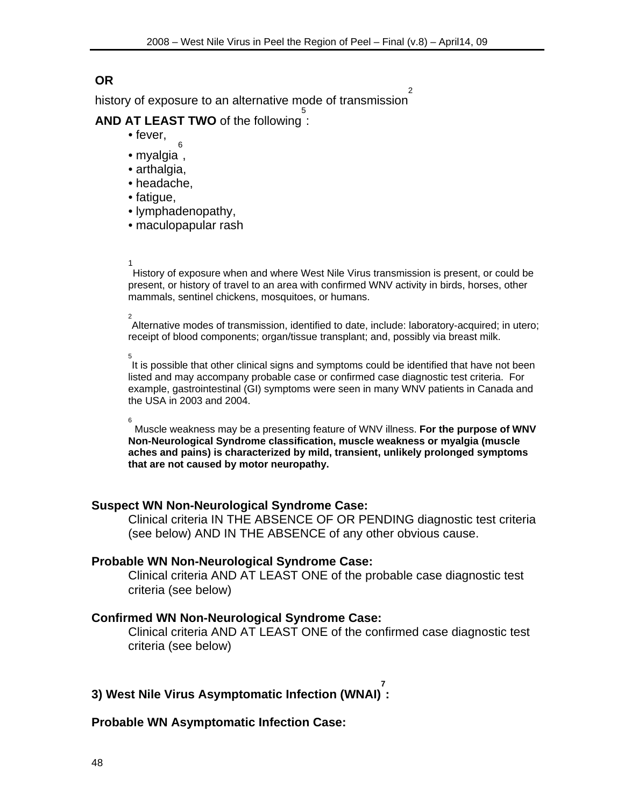## **OR**

 history of exposure to an alternative mode of transmission 2

#### **AND AT LEAST TWO** of the following 5 :

- fever,
- myalgia , 6
- arthalgia.
- headache,
- fatigue,
- lymphadenopathy,
- maculopapular rash
- 1<br>1<br>1<br>1

History of exposure when and where West Nile Virus transmission is present, or could be present, or history of travel to an area with confirmed WNV activity in birds, horses, other mammals, sentinel chickens, mosquitoes, or humans.

# 2

Alternative modes of transmission, identified to date, include: laboratory-acquired; in utero; receipt of blood components; organ/tissue transplant; and, possibly via breast milk.

 $\overline{5}$ It is possible that other clinical signs and symptoms could be identified that have not been listed and may accompany probable case or confirmed case diagnostic test criteria. For example, gastrointestinal (GI) symptoms were seen in many WNV patients in Canada and the USA in 2003 and 2004.

6

 Muscle weakness may be a presenting feature of WNV illness. **For the purpose of WNV Non-Neurological Syndrome classification, muscle weakness or myalgia (muscle aches and pains) is characterized by mild, transient, unlikely prolonged symptoms that are not caused by motor neuropathy.** 

#### **Suspect WN Non-Neurological Syndrome Case:**

Clinical criteria IN THE ABSENCE OF OR PENDING diagnostic test criteria (see below) AND IN THE ABSENCE of any other obvious cause.

#### **Probable WN Non-Neurological Syndrome Case:**

Clinical criteria AND AT LEAST ONE of the probable case diagnostic test criteria (see below)

#### **Confirmed WN Non-Neurological Syndrome Case:**

Clinical criteria AND AT LEAST ONE of the confirmed case diagnostic test criteria (see below)

**3) West Nile Virus Asymptomatic Infection (WNAI) 7 :** 

#### **Probable WN Asymptomatic Infection Case:**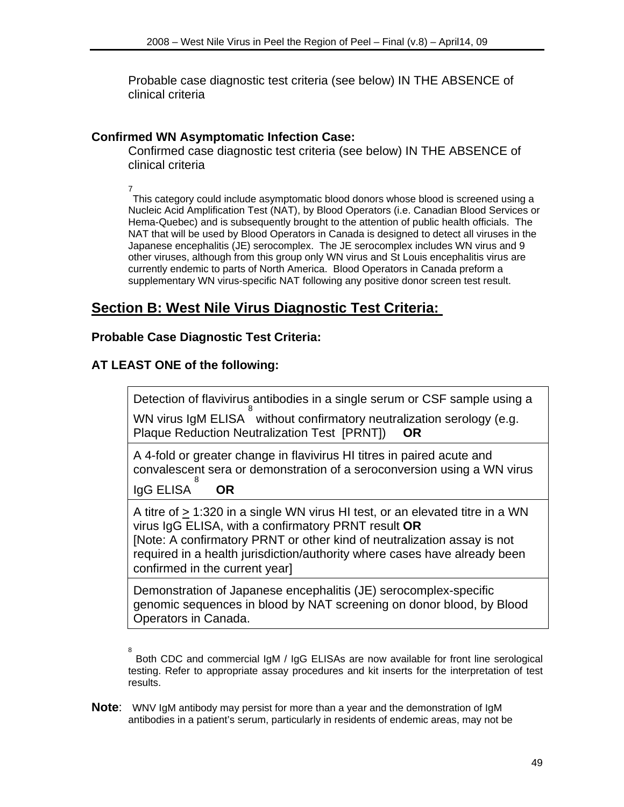Probable case diagnostic test criteria (see below) IN THE ABSENCE of clinical criteria

#### **Confirmed WN Asymptomatic Infection Case:**

Confirmed case diagnostic test criteria (see below) IN THE ABSENCE of clinical criteria

7

This category could include asymptomatic blood donors whose blood is screened using a Nucleic Acid Amplification Test (NAT), by Blood Operators (i.e. Canadian Blood Services or Hema-Quebec) and is subsequently brought to the attention of public health officials. The NAT that will be used by Blood Operators in Canada is designed to detect all viruses in the Japanese encephalitis (JE) serocomplex. The JE serocomplex includes WN virus and 9 other viruses, although from this group only WN virus and St Louis encephalitis virus are currently endemic to parts of North America. Blood Operators in Canada preform a supplementary WN virus-specific NAT following any positive donor screen test result.

## **Section B: West Nile Virus Diagnostic Test Criteria:**

#### **Probable Case Diagnostic Test Criteria:**

## **AT LEAST ONE of the following:**

Detection of flavivirus antibodies in a single serum or CSF sample using a

WN virus IgM ELISA 8 without confirmatory neutralization serology (e.g. Plaque Reduction Neutralization Test [PRNT]) **OR**

A 4-fold or greater change in flavivirus HI titres in paired acute and convalescent sera or demonstration of a seroconversion using a WN virus 8

IgG ELISA **OR**

A titre of > 1:320 in a single WN virus HI test, or an elevated titre in a WN virus IgG ELISA, with a confirmatory PRNT result **OR** [Note: A confirmatory PRNT or other kind of neutralization assay is not required in a health jurisdiction/authority where cases have already been confirmed in the current year]

Demonstration of Japanese encephalitis (JE) serocomplex-specific genomic sequences in blood by NAT screening on donor blood, by Blood Operators in Canada.

8 Both CDC and commercial IgM / IgG ELISAs are now available for front line serological testing. Refer to appropriate assay procedures and kit inserts for the interpretation of test results.

**Note**: WNV IgM antibody may persist for more than a year and the demonstration of IgM antibodies in a patient's serum, particularly in residents of endemic areas, may not be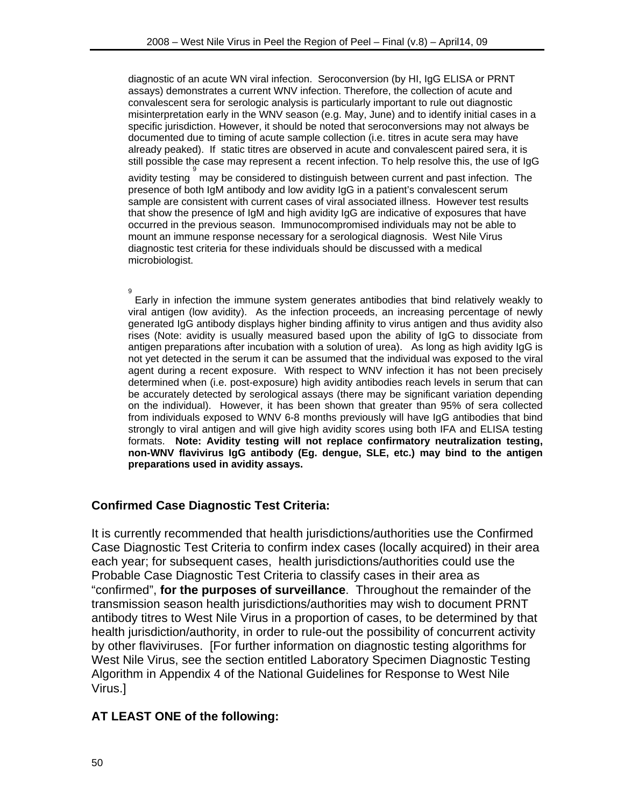diagnostic of an acute WN viral infection. Seroconversion (by HI, IgG ELISA or PRNT assays) demonstrates a current WNV infection. Therefore, the collection of acute and convalescent sera for serologic analysis is particularly important to rule out diagnostic misinterpretation early in the WNV season (e.g. May, June) and to identify initial cases in a specific jurisdiction. However, it should be noted that seroconversions may not always be documented due to timing of acute sample collection (i.e. titres in acute sera may have already peaked). If static titres are observed in acute and convalescent paired sera, it is still possible the case may represent a recent infection. To help resolve this, the use of IgG 9

avidity testing may be considered to distinguish between current and past infection. The presence of both IgM antibody and low avidity IgG in a patient's convalescent serum sample are consistent with current cases of viral associated illness. However test results that show the presence of IgM and high avidity IgG are indicative of exposures that have occurred in the previous season. Immunocompromised individuals may not be able to mount an immune response necessary for a serological diagnosis. West Nile Virus diagnostic test criteria for these individuals should be discussed with a medical microbiologist.

9 Early in infection the immune system generates antibodies that bind relatively weakly to viral antigen (low avidity). As the infection proceeds, an increasing percentage of newly generated IgG antibody displays higher binding affinity to virus antigen and thus avidity also rises (Note: avidity is usually measured based upon the ability of IgG to dissociate from antigen preparations after incubation with a solution of urea). As long as high avidity IgG is not yet detected in the serum it can be assumed that the individual was exposed to the viral agent during a recent exposure. With respect to WNV infection it has not been precisely determined when (i.e. post-exposure) high avidity antibodies reach levels in serum that can be accurately detected by serological assays (there may be significant variation depending on the individual). However, it has been shown that greater than 95% of sera collected from individuals exposed to WNV 6-8 months previously will have IgG antibodies that bind strongly to viral antigen and will give high avidity scores using both IFA and ELISA testing formats. **Note: Avidity testing will not replace confirmatory neutralization testing, non-WNV flavivirus IgG antibody (Eg. dengue, SLE, etc.) may bind to the antigen preparations used in avidity assays.** 

## **Confirmed Case Diagnostic Test Criteria:**

It is currently recommended that health jurisdictions/authorities use the Confirmed Case Diagnostic Test Criteria to confirm index cases (locally acquired) in their area each year; for subsequent cases, health jurisdictions/authorities could use the Probable Case Diagnostic Test Criteria to classify cases in their area as "confirmed", **for the purposes of surveillance**. Throughout the remainder of the transmission season health jurisdictions/authorities may wish to document PRNT antibody titres to West Nile Virus in a proportion of cases, to be determined by that health jurisdiction/authority, in order to rule-out the possibility of concurrent activity by other flaviviruses. [For further information on diagnostic testing algorithms for West Nile Virus, see the section entitled Laboratory Specimen Diagnostic Testing Algorithm in Appendix 4 of the National Guidelines for Response to West Nile Virus.]

## **AT LEAST ONE of the following:**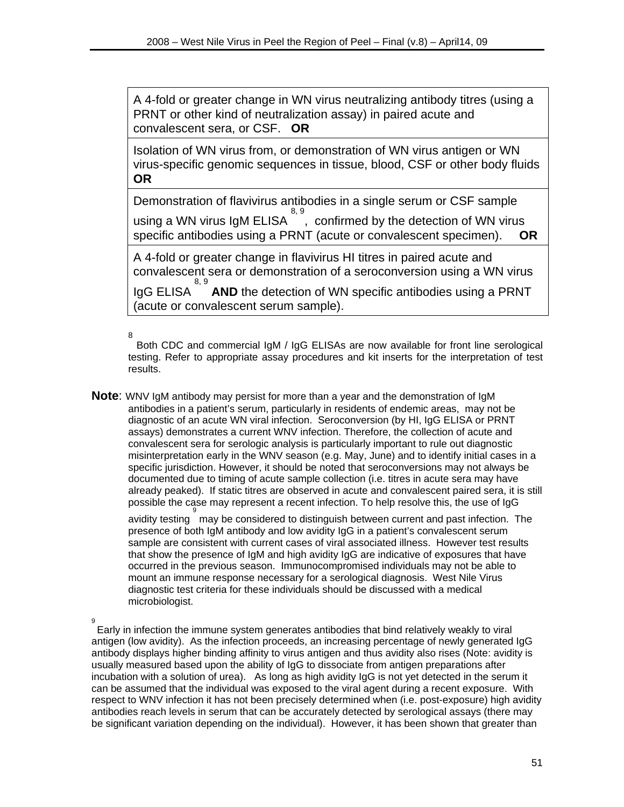A 4-fold or greater change in WN virus neutralizing antibody titres (using a PRNT or other kind of neutralization assay) in paired acute and convalescent sera, or CSF. **OR**

Isolation of WN virus from, or demonstration of WN virus antigen or WN virus-specific genomic sequences in tissue, blood, CSF or other body fluids **OR**

Demonstration of flavivirus antibodies in a single serum or CSF sample 8, 9

using a WN virus IgM ELISA , confirmed by the detection of WN virus specific antibodies using a PRNT (acute or convalescent specimen). **OR**

A 4-fold or greater change in flavivirus HI titres in paired acute and convalescent sera or demonstration of a seroconversion using a WN virus

IgG ELISA 8, 9 **AND** the detection of WN specific antibodies using a PRNT (acute or convalescent serum sample).

8

 Both CDC and commercial IgM / IgG ELISAs are now available for front line serological testing. Refer to appropriate assay procedures and kit inserts for the interpretation of test results.

**Note**: WNV IgM antibody may persist for more than a year and the demonstration of IgM antibodies in a patient's serum, particularly in residents of endemic areas, may not be diagnostic of an acute WN viral infection. Seroconversion (by HI, IgG ELISA or PRNT assays) demonstrates a current WNV infection. Therefore, the collection of acute and convalescent sera for serologic analysis is particularly important to rule out diagnostic misinterpretation early in the WNV season (e.g. May, June) and to identify initial cases in a specific jurisdiction. However, it should be noted that seroconversions may not always be documented due to timing of acute sample collection (i.e. titres in acute sera may have already peaked). If static titres are observed in acute and convalescent paired sera, it is still possible the case may represent a recent infection. To help resolve this, the use of IgG

.<br>avidity testing  $\stackrel{\circ}{\,}$  may be considered to distinguish between current and past infection. The presence of both IgM antibody and low avidity IgG in a patient's convalescent serum sample are consistent with current cases of viral associated illness. However test results that show the presence of IgM and high avidity IgG are indicative of exposures that have occurred in the previous season. Immunocompromised individuals may not be able to mount an immune response necessary for a serological diagnosis. West Nile Virus diagnostic test criteria for these individuals should be discussed with a medical microbiologist.

9

Early in infection the immune system generates antibodies that bind relatively weakly to viral antigen (low avidity). As the infection proceeds, an increasing percentage of newly generated IgG antibody displays higher binding affinity to virus antigen and thus avidity also rises (Note: avidity is usually measured based upon the ability of IgG to dissociate from antigen preparations after incubation with a solution of urea). As long as high avidity IgG is not yet detected in the serum it can be assumed that the individual was exposed to the viral agent during a recent exposure. With respect to WNV infection it has not been precisely determined when (i.e. post-exposure) high avidity antibodies reach levels in serum that can be accurately detected by serological assays (there may be significant variation depending on the individual). However, it has been shown that greater than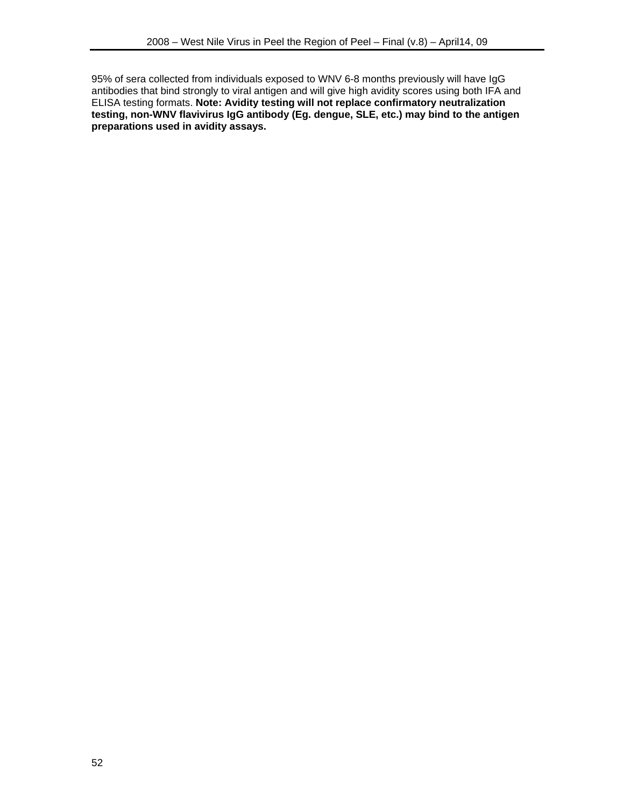95% of sera collected from individuals exposed to WNV 6-8 months previously will have IgG antibodies that bind strongly to viral antigen and will give high avidity scores using both IFA and ELISA testing formats. **Note: Avidity testing will not replace confirmatory neutralization testing, non-WNV flavivirus IgG antibody (Eg. dengue, SLE, etc.) may bind to the antigen preparations used in avidity assays.**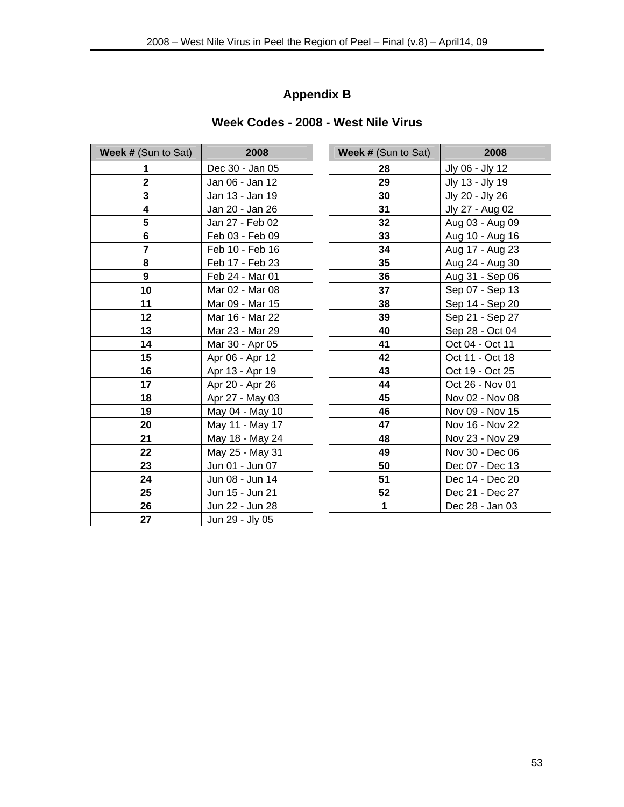## **Appendix B**

## **Week Codes - 2008 - West Nile Virus**

| <b>Week # (Sun to Sat)</b> | 2008            | <b>Week # (Sun to Sat)</b> | 2008            |
|----------------------------|-----------------|----------------------------|-----------------|
| 1                          | Dec 30 - Jan 05 | 28                         | Jly 06 - Jly 12 |
| $\overline{2}$             | Jan 06 - Jan 12 | 29                         | Jly 13 - Jly 19 |
| 3                          | Jan 13 - Jan 19 | 30                         | Jly 20 - Jly 26 |
| 4                          | Jan 20 - Jan 26 | 31                         | Jly 27 - Aug 0: |
| 5                          | Jan 27 - Feb 02 | 32                         | Aug 03 - Aug (  |
| 6                          | Feb 03 - Feb 09 | 33                         | Aug 10 - Aug    |
| $\overline{7}$             | Feb 10 - Feb 16 | 34                         | Aug 17 - Aug :  |
| 8                          | Feb 17 - Feb 23 | 35                         | Aug 24 - Aug:   |
| 9                          | Feb 24 - Mar 01 | 36                         | Aug 31 - Sep (  |
| 10                         | Mar 02 - Mar 08 | 37                         | Sep 07 - Sep    |
| 11                         | Mar 09 - Mar 15 | 38                         | Sep 14 - Sep 2  |
| 12                         | Mar 16 - Mar 22 | 39                         | Sep 21 - Sep 2  |
| 13                         | Mar 23 - Mar 29 | 40                         | Sep 28 - Oct 0  |
| 14                         | Mar 30 - Apr 05 | 41                         | Oct 04 - Oct 1  |
| 15                         | Apr 06 - Apr 12 | 42                         | Oct 11 - Oct 1  |
| 16                         | Apr 13 - Apr 19 | 43                         | Oct 19 - Oct 2  |
| 17                         | Apr 20 - Apr 26 | 44                         | Oct 26 - Nov 0  |
| 18                         | Apr 27 - May 03 | 45                         | Nov 02 - Nov (  |
| 19                         | May 04 - May 10 | 46                         | Nov 09 - Nov    |
| 20                         | May 11 - May 17 | 47                         | Nov 16 - Nov :  |
| 21                         | May 18 - May 24 | 48                         | Nov 23 - Nov :  |
| 22                         | May 25 - May 31 | 49                         | Nov 30 - Dec (  |
| 23                         | Jun 01 - Jun 07 | 50                         | Dec 07 - Dec    |
| 24                         | Jun 08 - Jun 14 | 51                         | Dec 14 - Dec:   |
| 25                         | Jun 15 - Jun 21 | 52                         | Dec 21 - Dec 2  |
| 26                         | Jun 22 - Jun 28 | 1                          | Dec 28 - Jan (  |
| 27                         | Jun 29 - Jly 05 |                            |                 |

| Sun to Sat)             | 2008            | <b>Week # (Sun to Sat)</b> | 2008            |
|-------------------------|-----------------|----------------------------|-----------------|
| $\mathbf{1}$            | Dec 30 - Jan 05 | 28                         | Jly 06 - Jly 12 |
| $\boldsymbol{2}$        | Jan 06 - Jan 12 | 29                         | Jly 13 - Jly 19 |
| $\mathbf 3$             | Jan 13 - Jan 19 | 30                         | Jly 20 - Jly 26 |
| $\overline{\mathbf{4}}$ | Jan 20 - Jan 26 | 31                         | Jly 27 - Aug 02 |
| $\overline{\mathbf{5}}$ | Jan 27 - Feb 02 | 32                         | Aug 03 - Aug 09 |
| $\bf 6$                 | Feb 03 - Feb 09 | 33                         | Aug 10 - Aug 16 |
| $\overline{7}$          | Feb 10 - Feb 16 | 34                         | Aug 17 - Aug 23 |
| 8                       | Feb 17 - Feb 23 | 35                         | Aug 24 - Aug 30 |
| $\overline{9}$          | Feb 24 - Mar 01 | 36                         | Aug 31 - Sep 06 |
| 10                      | Mar 02 - Mar 08 | 37                         | Sep 07 - Sep 13 |
| 11                      | Mar 09 - Mar 15 | 38                         | Sep 14 - Sep 20 |
| 12                      | Mar 16 - Mar 22 | 39                         | Sep 21 - Sep 27 |
| $\overline{13}$         | Mar 23 - Mar 29 | 40                         | Sep 28 - Oct 04 |
| 14                      | Mar 30 - Apr 05 | 41                         | Oct 04 - Oct 11 |
| 15                      | Apr 06 - Apr 12 | 42                         | Oct 11 - Oct 18 |
| 16                      | Apr 13 - Apr 19 | 43                         | Oct 19 - Oct 25 |
| 17                      | Apr 20 - Apr 26 | 44                         | Oct 26 - Nov 01 |
| 18                      | Apr 27 - May 03 | 45                         | Nov 02 - Nov 08 |
| 19                      | May 04 - May 10 | 46                         | Nov 09 - Nov 15 |
| 20                      | May 11 - May 17 | 47                         | Nov 16 - Nov 22 |
| 21                      | May 18 - May 24 | 48                         | Nov 23 - Nov 29 |
| <u>22  </u>             | May 25 - May 31 | 49                         | Nov 30 - Dec 06 |
| 23                      | Jun 01 - Jun 07 | 50                         | Dec 07 - Dec 13 |
| 24                      | Jun 08 - Jun 14 | 51                         | Dec 14 - Dec 20 |
| 25                      | Jun 15 - Jun 21 | 52                         | Dec 21 - Dec 27 |
| 26                      | Jun 22 - Jun 28 | 1                          | Dec 28 - Jan 03 |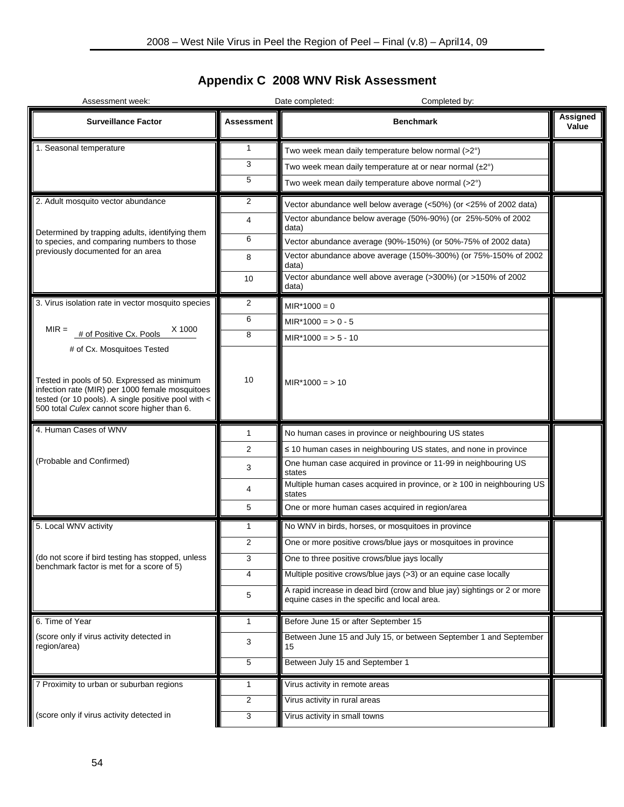# **Appendix C 2008 WNV Risk Assessment**

| Assessment week:                                                                                                                                                                                                                   |                | Date completed:<br>Completed by:                                                                                         |                   |  |  |
|------------------------------------------------------------------------------------------------------------------------------------------------------------------------------------------------------------------------------------|----------------|--------------------------------------------------------------------------------------------------------------------------|-------------------|--|--|
| <b>Surveillance Factor</b>                                                                                                                                                                                                         | Assessment     | <b>Benchmark</b>                                                                                                         | Assigned<br>Value |  |  |
| 1. Seasonal temperature                                                                                                                                                                                                            | 1              | Two week mean daily temperature below normal (>2°)                                                                       |                   |  |  |
|                                                                                                                                                                                                                                    | 3              | Two week mean daily temperature at or near normal $(\pm 2^{\circ})$                                                      |                   |  |  |
|                                                                                                                                                                                                                                    | 5              | Two week mean daily temperature above normal (>2°)                                                                       |                   |  |  |
| 2. Adult mosquito vector abundance                                                                                                                                                                                                 | 2              | Vector abundance well below average (<50%) (or <25% of 2002 data)                                                        |                   |  |  |
|                                                                                                                                                                                                                                    | 4              | Vector abundance below average (50%-90%) (or 25%-50% of 2002<br>data)                                                    |                   |  |  |
| Determined by trapping adults, identifying them<br>to species, and comparing numbers to those                                                                                                                                      | 6              | Vector abundance average (90%-150%) (or 50%-75% of 2002 data)                                                            |                   |  |  |
| previously documented for an area                                                                                                                                                                                                  | 8              | Vector abundance above average (150%-300%) (or 75%-150% of 2002<br>data)                                                 |                   |  |  |
|                                                                                                                                                                                                                                    | 10             | Vector abundance well above average (>300%) (or >150% of 2002<br>data)                                                   |                   |  |  |
| 3. Virus isolation rate in vector mosquito species                                                                                                                                                                                 | 2              | $MIR*1000 = 0$                                                                                                           |                   |  |  |
|                                                                                                                                                                                                                                    | 6              | $MIR*1000 = 0 - 5$                                                                                                       |                   |  |  |
| $MIR =$<br>X 1000<br># of Positive Cx. Pools                                                                                                                                                                                       | 8              | $MIR*1000 = 5 - 10$                                                                                                      |                   |  |  |
| # of Cx. Mosquitoes Tested<br>Tested in pools of 50. Expressed as minimum<br>infection rate (MIR) per 1000 female mosquitoes<br>tested (or 10 pools). A single positive pool with <<br>500 total Culex cannot score higher than 6. | 10             | $MIR*1000 = 10$                                                                                                          |                   |  |  |
| 4. Human Cases of WNV                                                                                                                                                                                                              | 1              | No human cases in province or neighbouring US states                                                                     |                   |  |  |
|                                                                                                                                                                                                                                    | 2              | $\leq$ 10 human cases in neighbouring US states, and none in province                                                    |                   |  |  |
| (Probable and Confirmed)                                                                                                                                                                                                           | 3              | One human case acquired in province or 11-99 in neighbouring US<br>states                                                |                   |  |  |
|                                                                                                                                                                                                                                    | 4              | Multiple human cases acquired in province, or ≥ 100 in neighbouring US<br>states                                         |                   |  |  |
|                                                                                                                                                                                                                                    | 5              | One or more human cases acquired in region/area                                                                          |                   |  |  |
| 5. Local WNV activity                                                                                                                                                                                                              | 1              | No WNV in birds, horses, or mosquitoes in province                                                                       |                   |  |  |
|                                                                                                                                                                                                                                    | 2              | One or more positive crows/blue jays or mosquitoes in province                                                           |                   |  |  |
| (do not score if bird testing has stopped, unless<br>benchmark factor is met for a score of 5)                                                                                                                                     | 3              | One to three positive crows/blue jays locally                                                                            |                   |  |  |
|                                                                                                                                                                                                                                    | 4              | Multiple positive crows/blue jays (>3) or an equine case locally                                                         |                   |  |  |
|                                                                                                                                                                                                                                    | 5              | A rapid increase in dead bird (crow and blue jay) sightings or 2 or more<br>equine cases in the specific and local area. |                   |  |  |
| 6. Time of Year                                                                                                                                                                                                                    | 1              | Before June 15 or after September 15                                                                                     |                   |  |  |
| (score only if virus activity detected in<br>region/area)                                                                                                                                                                          | 3              | Between June 15 and July 15, or between September 1 and September<br>15                                                  |                   |  |  |
|                                                                                                                                                                                                                                    | 5              | Between July 15 and September 1                                                                                          |                   |  |  |
| 7 Proximity to urban or suburban regions                                                                                                                                                                                           | 1              | Virus activity in remote areas                                                                                           |                   |  |  |
|                                                                                                                                                                                                                                    | $\overline{2}$ | Virus activity in rural areas                                                                                            |                   |  |  |
| (score only if virus activity detected in                                                                                                                                                                                          | 3              | Virus activity in small towns                                                                                            |                   |  |  |